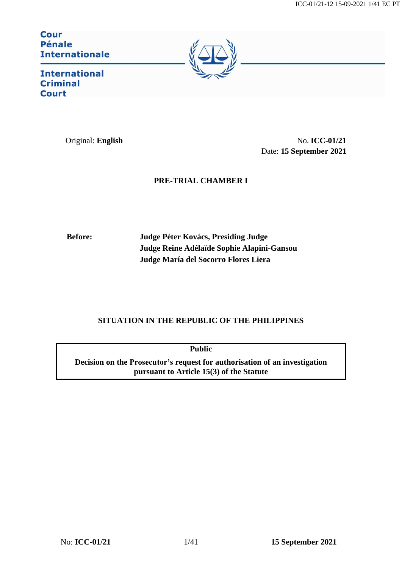ICC-01/21-12 15-09-2021 1/41 EC PT

**Cour Pénale Internationale** 



**Criminal Court** 

Original: **English** No. **ICC-01/21** Date: **15 September 2021**

# **PRE-TRIAL CHAMBER I**

**Before: Judge Péter Kovács, Presiding Judge Judge Reine Adélaïde Sophie Alapini-Gansou Judge María del Socorro [Flores Liera](https://asp.icc-cpi.int/en_menus/asp/elections/judges/2020/Nominations/Pages/Flores%20Liera.aspx)** 

# **SITUATION IN THE REPUBLIC OF THE PHILIPPINES**

**Public**

**Decision on the Prosecutor's request for authorisation of an investigation pursuant to Article 15(3) of the Statute**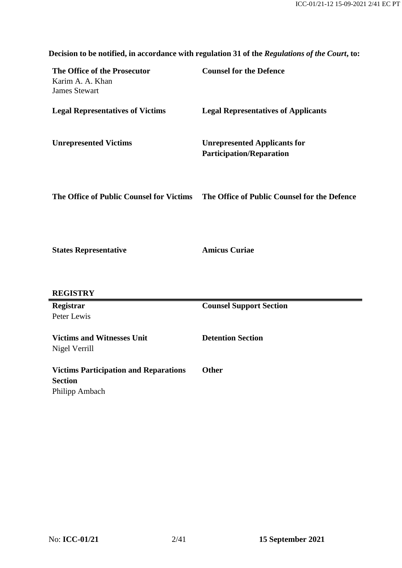**Decision to be notified, in accordance with regulation 31 of the** *Regulations of the Court***, to:**

| The Office of the Prosecutor<br>Karim A. A. Khan<br><b>James Stewart</b> | <b>Counsel for the Defence</b>                                         |
|--------------------------------------------------------------------------|------------------------------------------------------------------------|
| <b>Legal Representatives of Victims</b>                                  | <b>Legal Representatives of Applicants</b>                             |
| <b>Unrepresented Victims</b>                                             | <b>Unrepresented Applicants for</b><br><b>Participation/Reparation</b> |
| The Office of Public Counsel for Victims                                 | The Office of Public Counsel for the Defence                           |
| <b>States Representative</b>                                             | <b>Amicus Curiae</b>                                                   |
| <b>REGISTRY</b>                                                          |                                                                        |
| Registrar                                                                | <b>Counsel Support Section</b>                                         |
| Peter Lewis                                                              |                                                                        |
| <b>Victims and Witnesses Unit</b><br>Nigel Verrill                       | <b>Detention Section</b>                                               |
| <b>Victims Participation and Reparations</b><br><b>Section</b>           | <b>Other</b>                                                           |
| Philipp Ambach                                                           |                                                                        |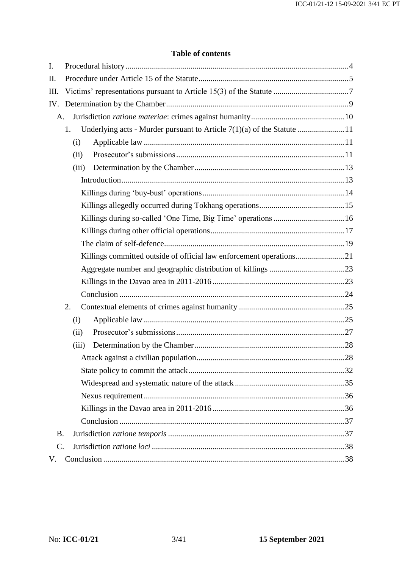# **Table of contents**

| I.              |       |                                                                     |  |
|-----------------|-------|---------------------------------------------------------------------|--|
| Π.              |       |                                                                     |  |
| Ш.              |       |                                                                     |  |
| IV.             |       |                                                                     |  |
| A.              |       |                                                                     |  |
|                 | 1.    |                                                                     |  |
|                 | (i)   |                                                                     |  |
|                 | (ii)  |                                                                     |  |
|                 | (iii) |                                                                     |  |
|                 |       |                                                                     |  |
|                 |       |                                                                     |  |
|                 |       |                                                                     |  |
|                 |       |                                                                     |  |
|                 |       |                                                                     |  |
|                 |       |                                                                     |  |
|                 |       | Killings committed outside of official law enforcement operations21 |  |
|                 |       |                                                                     |  |
|                 |       |                                                                     |  |
|                 |       |                                                                     |  |
|                 | 2.    |                                                                     |  |
|                 | (i)   |                                                                     |  |
|                 | (ii)  |                                                                     |  |
|                 | (iii) |                                                                     |  |
|                 |       |                                                                     |  |
|                 |       |                                                                     |  |
|                 |       |                                                                     |  |
|                 |       |                                                                     |  |
|                 |       |                                                                     |  |
|                 |       |                                                                     |  |
| <b>B.</b>       |       |                                                                     |  |
| $\mathcal{C}$ . |       |                                                                     |  |
| V.              |       |                                                                     |  |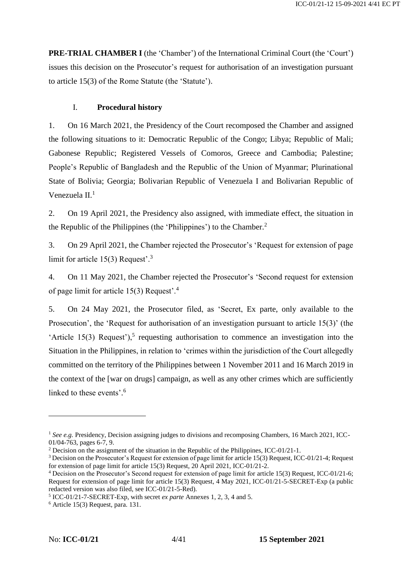**PRE-TRIAL CHAMBER I** (the 'Chamber') of the International Criminal Court (the 'Court') issues this decision on the Prosecutor's request for authorisation of an investigation pursuant to article 15(3) of the Rome Statute (the 'Statute').

### I. **Procedural history**

<span id="page-3-0"></span>1. On 16 March 2021, the Presidency of the Court recomposed the Chamber and assigned the following situations to it: Democratic Republic of the Congo; Libya; Republic of Mali; Gabonese Republic; Registered Vessels of Comoros, Greece and Cambodia; Palestine; People's Republic of Bangladesh and the Republic of the Union of Myanmar; Plurinational State of Bolivia; Georgia; Bolivarian Republic of Venezuela I and Bolivarian Republic of Venezuela II. 1

2. On 19 April 2021, the Presidency also assigned, with immediate effect, the situation in the Republic of the Philippines (the 'Philippines') to the Chamber.<sup>2</sup>

3. On 29 April 2021, the Chamber rejected the Prosecutor's 'Request for extension of page limit for article 15(3) Request'.<sup>3</sup>

4. On 11 May 2021, the Chamber rejected the Prosecutor's 'Second request for extension of page limit for article 15(3) Request'.<sup>4</sup>

5. On 24 May 2021, the Prosecutor filed, as 'Secret, Ex parte, only available to the Prosecution', the 'Request for authorisation of an investigation pursuant to article 15(3)' (the 'Article  $15(3)$  Request'),<sup>5</sup> requesting authorisation to commence an investigation into the Situation in the Philippines, in relation to 'crimes within the jurisdiction of the Court allegedly committed on the territory of the Philippines between 1 November 2011 and 16 March 2019 in the context of the [war on drugs] campaign, as well as any other crimes which are sufficiently linked to these events'. 6

<sup>&</sup>lt;sup>1</sup> See e.g. Presidency, Decision assigning judges to divisions and recomposing Chambers, 16 March 2021, ICC-01/04-763, pages 6-7, 9.

<sup>&</sup>lt;sup>2</sup> Decision on the assignment of the situation in the Republic of the Philippines, ICC-01/21-1.

<sup>3</sup> Decision on the Prosecutor's Request for extension of page limit for article 15(3) Request, ICC-01/21-4; Request for extension of page limit for article 15(3) Request, 20 April 2021, ICC-01/21-2.

<sup>4</sup> Decision on the Prosecutor's Second request for extension of page limit for article 15(3) Request, ICC-01/21-6; Request for extension of page limit for article 15(3) Request, 4 May 2021, ICC-01/21-5-SECRET-Exp (a public redacted version was also filed, see ICC-01/21-5-Red).

<sup>5</sup> ICC-01/21-7-SECRET-Exp, with secret *ex parte* Annexes 1, 2, 3, 4 and 5.

 $6$  Article 15(3) Request, para. 131.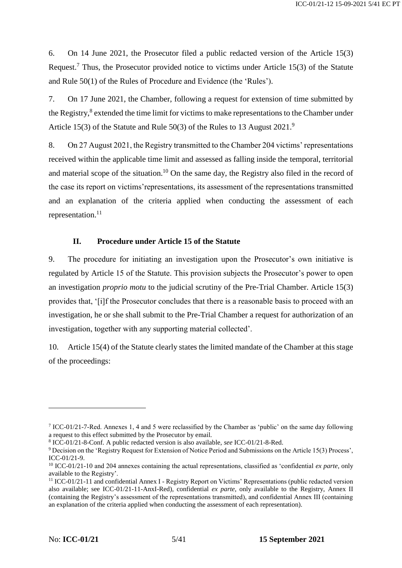6. On 14 June 2021, the Prosecutor filed a public redacted version of the Article 15(3) Request.<sup>7</sup> Thus, the Prosecutor provided notice to victims under Article 15(3) of the Statute and Rule 50(1) of the Rules of Procedure and Evidence (the 'Rules').

7. On 17 June 2021, the Chamber, following a request for extension of time submitted by the Registry,<sup>8</sup> extended the time limit for victims to make representations to the Chamber under Article 15(3) of the Statute and Rule 50(3) of the Rules to 13 August 2021.<sup>9</sup>

8. On 27 August 2021, the Registry transmitted to the Chamber 204 victims' representations received within the applicable time limit and assessed as falling inside the temporal, territorial and material scope of the situation.<sup>10</sup> On the same day, the Registry also filed in the record of the case its report on victims'representations, its assessment of the representations transmitted and an explanation of the criteria applied when conducting the assessment of each representation. $11$ 

### **II. Procedure under Article 15 of the Statute**

<span id="page-4-0"></span>9. The procedure for initiating an investigation upon the Prosecutor's own initiative is regulated by Article 15 of the Statute. This provision subjects the Prosecutor's power to open an investigation *proprio motu* to the judicial scrutiny of the Pre-Trial Chamber. Article 15(3) provides that, '[i]f the Prosecutor concludes that there is a reasonable basis to proceed with an investigation, he or she shall submit to the Pre-Trial Chamber a request for authorization of an investigation, together with any supporting material collected'.

10. Article 15(4) of the Statute clearly states the limited mandate of the Chamber at this stage of the proceedings:

<sup>&</sup>lt;sup>7</sup> ICC-01/21-7-Red. Annexes 1, 4 and 5 were reclassified by the Chamber as 'public' on the same day following a request to this effect submitted by the Prosecutor by email.

<sup>8</sup> ICC-01/21-8-Conf. A public redacted version is also available, *see* ICC-01/21-8-Red.

<sup>&</sup>lt;sup>9</sup> Decision on the 'Registry Request for Extension of Notice Period and Submissions on the Article 15(3) Process', ICC-01/21-9.

<sup>10</sup> ICC-01/21-10 and 204 annexes containing the actual representations, classified as 'confidential *ex parte*, only available to the Registry'.

<sup>11</sup> ICC-01/21-11 and confidential Annex I - Registry Report on Victims' Representations (public redacted version also available; see ICC-01/21-11-AnxI-Red), confidential *ex parte*, only available to the Registry, Annex II (containing the Registry's assessment of the representations transmitted), and confidential Annex III (containing an explanation of the criteria applied when conducting the assessment of each representation).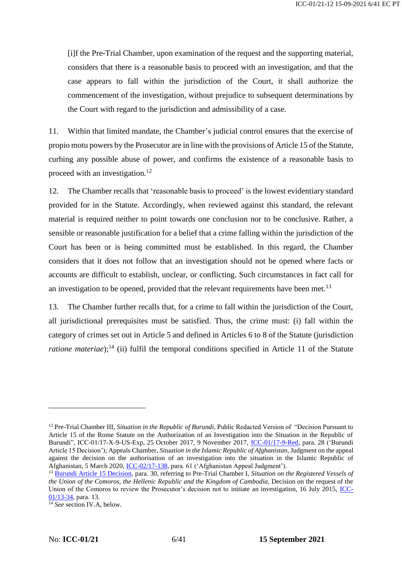[i]f the Pre-Trial Chamber, upon examination of the request and the supporting material, considers that there is a reasonable basis to proceed with an investigation, and that the case appears to fall within the jurisdiction of the Court, it shall authorize the commencement of the investigation, without prejudice to subsequent determinations by the Court with regard to the jurisdiction and admissibility of a case.

11. Within that limited mandate, the Chamber's judicial control ensures that the exercise of propio motu powers by the Prosecutor are in line with the provisions of Article 15 of the Statute, curbing any possible abuse of power, and confirms the existence of a reasonable basis to proceed with an investigation*.* 12

12. The Chamber recalls that 'reasonable basis to proceed' is the lowest evidentiary standard provided for in the Statute. Accordingly, when reviewed against this standard, the relevant material is required neither to point towards one conclusion nor to be conclusive. Rather, a sensible or reasonable justification for a belief that a crime falling within the jurisdiction of the Court has been or is being committed must be established. In this regard, the Chamber considers that it does not follow that an investigation should not be opened where facts or accounts are difficult to establish, unclear, or conflicting. Such circumstances in fact call for an investigation to be opened, provided that the relevant requirements have been met.<sup>13</sup>

13. The Chamber further recalls that, for a crime to fall within the jurisdiction of the Court, all jurisdictional prerequisites must be satisfied. Thus, the crime must: (i) fall within the category of crimes set out in Article 5 and defined in Articles 6 to 8 of the Statute (jurisdiction *ratione materiae*);<sup>14</sup> (ii) fulfil the temporal conditions specified in Article 11 of the Statute

<sup>12</sup> Pre-Trial Chamber III, *Situation in the Republic of Burundi*, Public Redacted Version of "Decision Pursuant to Article 15 of the Rome Statute on the Authorization of an Investigation into the Situation in the Republic of Burundi", ICC-01/17-X-9-US-Exp, 25 October 2017, 9 November 2017, [ICC-01/17-9-Red,](http://www.legal-tools.org/doc/8f2373/) para. 28 ('Burundi Article 15 Decision'); Appeals Chamber, *Situation in the Islamic Republic of Afghanistan*, Judgment on the appeal against the decision on the authorisation of an investigation into the situation in the Islamic Republic of Afghanistan, 5 March 2020, [ICC-02/17-138,](https://www.legal-tools.org/doc/x7kl12/) para. 61 ('Afghanistan Appeal Judgment').

<sup>&</sup>lt;sup>13</sup> [Burundi Article 15 Decision,](http://www.legal-tools.org/doc/8f2373/) para. 30, referring to Pre-Trial Chamber I, *Situation on the Registered Vessels of the Union of the Comoros, the Hellenic Republic and the Kingdom of Cambodia*, Decision on the request of the Union of the Comoros to review the Prosecutor's decision not to initiate an investigation, 16 July 2015, [ICC-](http://www.legal-tools.org/doc/2f876c/)[01/13-34,](http://www.legal-tools.org/doc/2f876c/) para. 13.

<sup>&</sup>lt;sup>14</sup> *See* section [IV.A,](#page-9-0) below.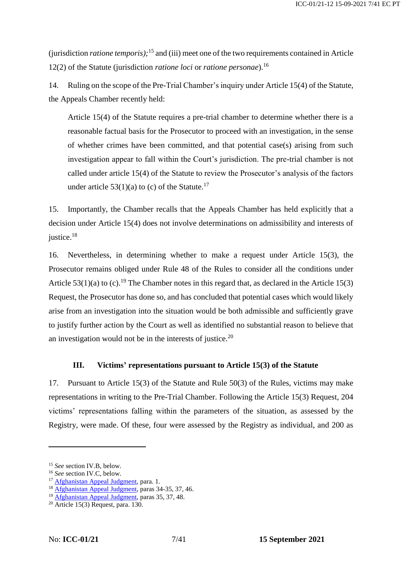(jurisdiction *ratione temporis);*<sup>15</sup> and (iii) meet one of the two requirements contained in Article 12(2) of the Statute (jurisdiction *ratione loci* or *ratione personae*). 16

14. Ruling on the scope of the Pre-Trial Chamber's inquiry under Article 15(4) of the Statute, the Appeals Chamber recently held:

Article 15(4) of the Statute requires a pre-trial chamber to determine whether there is a reasonable factual basis for the Prosecutor to proceed with an investigation, in the sense of whether crimes have been committed, and that potential case(s) arising from such investigation appear to fall within the Court's jurisdiction. The pre-trial chamber is not called under article 15(4) of the Statute to review the Prosecutor's analysis of the factors under article  $53(1)(a)$  to (c) of the Statute.<sup>17</sup>

15. Importantly, the Chamber recalls that the Appeals Chamber has held explicitly that a decision under Article 15(4) does not involve determinations on admissibility and interests of justice.<sup>18</sup>

16. Nevertheless, in determining whether to make a request under Article 15(3), the Prosecutor remains obliged under Rule 48 of the Rules to consider all the conditions under Article 53(1)(a) to (c).<sup>19</sup> The Chamber notes in this regard that, as declared in the Article 15(3) Request, the Prosecutor has done so, and has concluded that potential cases which would likely arise from an investigation into the situation would be both admissible and sufficiently grave to justify further action by the Court as well as identified no substantial reason to believe that an investigation would not be in the interests of justice.<sup>20</sup>

### **III. Victims' representations pursuant to Article 15(3) of the Statute**

<span id="page-6-0"></span>17. Pursuant to Article 15(3) of the Statute and Rule 50(3) of the Rules, victims may make representations in writing to the Pre-Trial Chamber. Following the Article 15(3) Request, 204 victims' representations falling within the parameters of the situation, as assessed by the Registry, were made. Of these, four were assessed by the Registry as individual, and 200 as

<sup>&</sup>lt;sup>15</sup> See section [IV.B,](#page-36-1) below.

<sup>16</sup> *See* section [IV.C,](#page-37-0) below.

<sup>&</sup>lt;sup>17</sup> [Afghanistan Appeal Judgment,](https://www.legal-tools.org/doc/x7kl12/) para. 1.

<sup>&</sup>lt;sup>18</sup> [Afghanistan Appeal Judgment,](https://www.legal-tools.org/doc/x7kl12/) paras 34-35, 37, 46.

<sup>&</sup>lt;sup>19</sup> [Afghanistan Appeal Judgment,](https://www.legal-tools.org/doc/x7kl12/) paras 35, 37, 48.

 $20$  Article 15(3) Request, para. 130.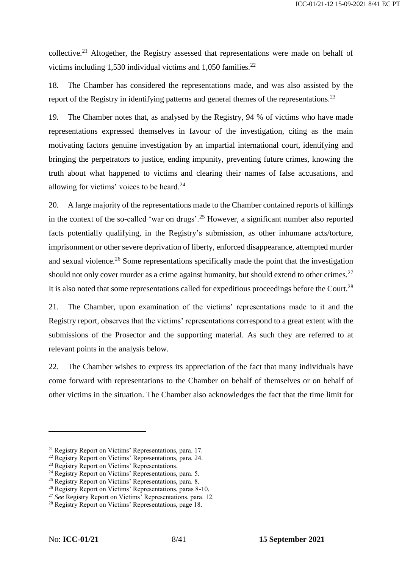collective.<sup>21</sup> Altogether, the Registry assessed that representations were made on behalf of victims including 1,530 individual victims and 1,050 families. $^{22}$ 

18. The Chamber has considered the representations made, and was also assisted by the report of the Registry in identifying patterns and general themes of the representations.<sup>23</sup>

19. The Chamber notes that, as analysed by the Registry, 94 % of victims who have made representations expressed themselves in favour of the investigation, citing as the main motivating factors genuine investigation by an impartial international court, identifying and bringing the perpetrators to justice, ending impunity, preventing future crimes, knowing the truth about what happened to victims and clearing their names of false accusations, and allowing for victims' voices to be heard. $^{24}$ 

20. A large majority of the representations made to the Chamber contained reports of killings in the context of the so-called 'war on drugs'.<sup>25</sup> However, a significant number also reported facts potentially qualifying, in the Registry's submission, as other inhumane acts/torture, imprisonment or other severe deprivation of liberty, enforced disappearance, attempted murder and sexual violence.<sup>26</sup> Some representations specifically made the point that the investigation should not only cover murder as a crime against humanity, but should extend to other crimes.<sup>27</sup> It is also noted that some representations called for expeditious proceedings before the Court.<sup>28</sup>

21. The Chamber, upon examination of the victims' representations made to it and the Registry report, observes that the victims' representations correspond to a great extent with the submissions of the Prosector and the supporting material. As such they are referred to at relevant points in the analysis below.

22. The Chamber wishes to express its appreciation of the fact that many individuals have come forward with representations to the Chamber on behalf of themselves or on behalf of other victims in the situation. The Chamber also acknowledges the fact that the time limit for

<sup>21</sup> Registry Report on Victims' Representations, para. 17.

<sup>&</sup>lt;sup>22</sup> Registry Report on Victims' Representations, para. 24.

<sup>&</sup>lt;sup>23</sup> Registry Report on Victims' Representations.

<sup>24</sup> Registry Report on Victims' Representations, para. 5.

<sup>&</sup>lt;sup>25</sup> Registry Report on Victims' Representations, para. 8.

<sup>26</sup> Registry Report on Victims' Representations, paras 8-10.

<sup>27</sup> *See* Registry Report on Victims' Representations, para. 12.

<sup>&</sup>lt;sup>28</sup> Registry Report on Victims' Representations, page 18.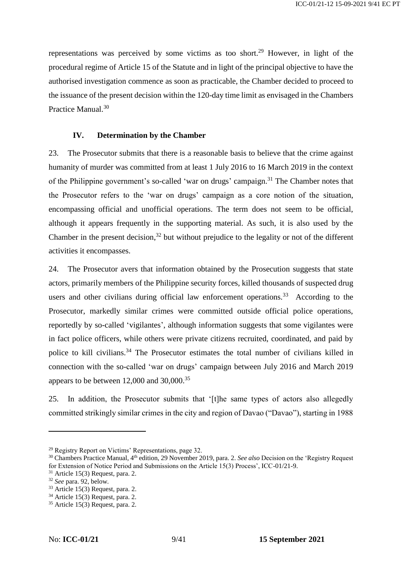representations was perceived by some victims as too short.<sup>29</sup> However, in light of the procedural regime of Article 15 of the Statute and in light of the principal objective to have the authorised investigation commence as soon as practicable, the Chamber decided to proceed to the issuance of the present decision within the 120-day time limit as envisaged in the Chambers Practice Manual.<sup>30</sup>

#### **IV. Determination by the Chamber**

<span id="page-8-0"></span>23. The Prosecutor submits that there is a reasonable basis to believe that the crime against humanity of murder was committed from at least 1 July 2016 to 16 March 2019 in the context of the Philippine government's so-called 'war on drugs' campaign.<sup>31</sup> The Chamber notes that the Prosecutor refers to the 'war on drugs' campaign as a core notion of the situation, encompassing official and unofficial operations. The term does not seem to be official, although it appears frequently in the supporting material. As such, it is also used by the Chamber in the present decision, $32$  but without prejudice to the legality or not of the different activities it encompasses.

24. The Prosecutor avers that information obtained by the Prosecution suggests that state actors, primarily members of the Philippine security forces, killed thousands of suspected drug users and other civilians during official law enforcement operations.<sup>33</sup> According to the Prosecutor, markedly similar crimes were committed outside official police operations, reportedly by so-called 'vigilantes', although information suggests that some vigilantes were in fact police officers, while others were private citizens recruited, coordinated, and paid by police to kill civilians.<sup>34</sup> The Prosecutor estimates the total number of civilians killed in connection with the so-called 'war on drugs' campaign between July 2016 and March 2019 appears to be between  $12,000$  and  $30,000$ .<sup>35</sup>

25. In addition, the Prosecutor submits that '[t]he same types of actors also allegedly committed strikingly similar crimes in the city and region of Davao ("Davao"), starting in 1988

<sup>29</sup> Registry Report on Victims' Representations, page 32.

<sup>30</sup> Chambers Practice Manual, 4th edition, 29 November 2019, para. 2. *See also* Decision on the 'Registry Request for Extension of Notice Period and Submissions on the Article 15(3) Process', ICC-01/21-9.

<sup>31</sup> Article 15(3) Request, para. 2.

<sup>32</sup> *See* para. 92, below.

<sup>33</sup> Article 15(3) Request, para. 2.

<sup>34</sup> Article 15(3) Request, para. 2.

<sup>35</sup> Article 15(3) Request, para. 2.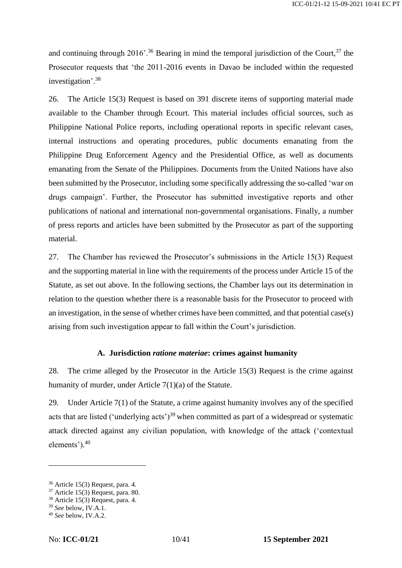and continuing through 2016'.<sup>36</sup> Bearing in mind the temporal jurisdiction of the Court,<sup>37</sup> the Prosecutor requests that 'the 2011-2016 events in Davao be included within the requested investigation'.<sup>38</sup>

26. The Article 15(3) Request is based on 391 discrete items of supporting material made available to the Chamber through Ecourt. This material includes official sources, such as Philippine National Police reports, including operational reports in specific relevant cases, internal instructions and operating procedures, public documents emanating from the Philippine Drug Enforcement Agency and the Presidential Office, as well as documents emanating from the Senate of the Philippines. Documents from the United Nations have also been submitted by the Prosecutor, including some specifically addressing the so-called 'war on drugs campaign'. Further, the Prosecutor has submitted investigative reports and other publications of national and international non-governmental organisations. Finally, a number of press reports and articles have been submitted by the Prosecutor as part of the supporting material.

27. The Chamber has reviewed the Prosecutor's submissions in the Article 15(3) Request and the supporting material in line with the requirements of the process under Article 15 of the Statute, as set out above. In the following sections, the Chamber lays out its determination in relation to the question whether there is a reasonable basis for the Prosecutor to proceed with an investigation, in the sense of whether crimes have been committed, and that potential case(s) arising from such investigation appear to fall within the Court's jurisdiction.

#### **A. Jurisdiction** *ratione materiae***: crimes against humanity**

<span id="page-9-0"></span>28. The crime alleged by the Prosecutor in the Article 15(3) Request is the crime against humanity of murder, under Article 7(1)(a) of the Statute.

29. Under Article 7(1) of the Statute, a crime against humanity involves any of the specified acts that are listed ('underlying acts')<sup>39</sup> when committed as part of a widespread or systematic attack directed against any civilian population, with knowledge of the attack ('contextual elements'). 40

<sup>36</sup> Article 15(3) Request, para. 4.

 $37$  Article 15(3) Request, para. 80.

<sup>38</sup> Article 15(3) Request, para. 4.

<sup>39</sup> *See* below, [IV.A.1.](#page-10-0)

<sup>40</sup> *See* below, [IV.A.2.](#page-24-0)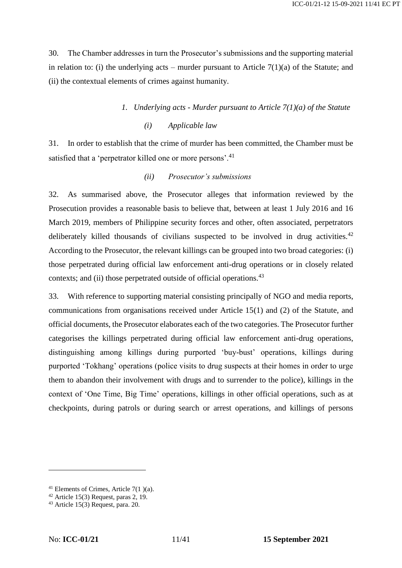30. The Chamber addresses in turn the Prosecutor's submissions and the supporting material in relation to: (i) the underlying acts – murder pursuant to Article  $7(1)(a)$  of the Statute; and (ii) the contextual elements of crimes against humanity.

### *1. Underlying acts - Murder pursuant to Article 7(1)(a) of the Statute*

### *(i) Applicable law*

<span id="page-10-1"></span><span id="page-10-0"></span>31. In order to establish that the crime of murder has been committed, the Chamber must be satisfied that a 'perpetrator killed one or more persons'.<sup>41</sup>

### *(ii) Prosecutor's submissions*

<span id="page-10-2"></span>32. As summarised above, the Prosecutor alleges that information reviewed by the Prosecution provides a reasonable basis to believe that, between at least 1 July 2016 and 16 March 2019, members of Philippine security forces and other, often associated, perpetrators deliberately killed thousands of civilians suspected to be involved in drug activities.<sup>42</sup> According to the Prosecutor, the relevant killings can be grouped into two broad categories: (i) those perpetrated during official law enforcement anti-drug operations or in closely related contexts; and (ii) those perpetrated outside of official operations.<sup>43</sup>

33. With reference to supporting material consisting principally of NGO and media reports, communications from organisations received under Article 15(1) and (2) of the Statute, and official documents, the Prosecutor elaborates each of the two categories. The Prosecutor further categorises the killings perpetrated during official law enforcement anti-drug operations, distinguishing among killings during purported 'buy-bust' operations, killings during purported 'Tokhang' operations (police visits to drug suspects at their homes in order to urge them to abandon their involvement with drugs and to surrender to the police), killings in the context of 'One Time, Big Time' operations, killings in other official operations, such as at checkpoints, during patrols or during search or arrest operations, and killings of persons

<sup>41</sup> Elements of Crimes, Article 7(1 )(a).

 $42$  Article 15(3) Request, paras 2, 19.

<sup>43</sup> Article 15(3) Request, para. 20.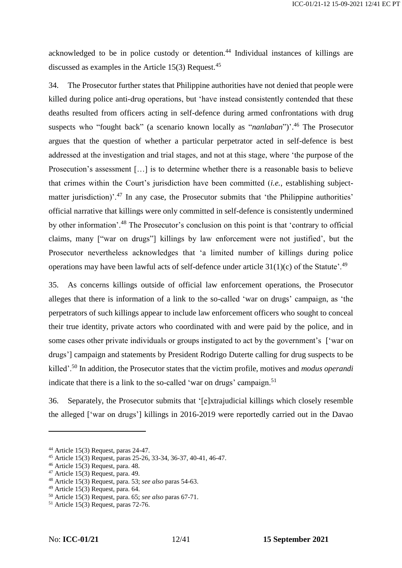acknowledged to be in police custody or detention.<sup>44</sup> Individual instances of killings are discussed as examples in the Article  $15(3)$  Request.<sup>45</sup>

34. The Prosecutor further states that Philippine authorities have not denied that people were killed during police anti-drug operations, but 'have instead consistently contended that these deaths resulted from officers acting in self-defence during armed confrontations with drug suspects who "fought back" (a scenario known locally as "*nanlaban*")'. <sup>46</sup> The Prosecutor argues that the question of whether a particular perpetrator acted in self-defence is best addressed at the investigation and trial stages, and not at this stage, where 'the purpose of the Prosecution's assessment […] is to determine whether there is a reasonable basis to believe that crimes within the Court's jurisdiction have been committed (*i.e.*, establishing subjectmatter jurisdiction)<sup>'.47</sup> In any case, the Prosecutor submits that 'the Philippine authorities' official narrative that killings were only committed in self-defence is consistently undermined by other information'.<sup>48</sup> The Prosecutor's conclusion on this point is that 'contrary to official claims, many ["war on drugs"] killings by law enforcement were not justified', but the Prosecutor nevertheless acknowledges that 'a limited number of killings during police operations may have been lawful acts of self-defence under article  $31(1)(c)$  of the Statute'.<sup>49</sup>

35. As concerns killings outside of official law enforcement operations, the Prosecutor alleges that there is information of a link to the so-called 'war on drugs' campaign, as 'the perpetrators of such killings appear to include law enforcement officers who sought to conceal their true identity, private actors who coordinated with and were paid by the police, and in some cases other private individuals or groups instigated to act by the government's ['war on drugs'] campaign and statements by President Rodrigo Duterte calling for drug suspects to be killed'.<sup>50</sup> In addition, the Prosecutor states that the victim profile, motives and *modus operandi* indicate that there is a link to the so-called 'war on drugs' campaign.<sup>51</sup>

36. Separately, the Prosecutor submits that '[e]xtrajudicial killings which closely resemble the alleged ['war on drugs'] killings in 2016-2019 were reportedly carried out in the Davao

 $44$  Article 15(3) Request, paras 24-47.

<sup>45</sup> Article 15(3) Request, paras 25-26, 33-34, 36-37, 40-41, 46-47.

<sup>46</sup> Article 15(3) Request, para. 48.

<sup>47</sup> Article 15(3) Request, para. 49.

<sup>48</sup> Article 15(3) Request, para. 53; *see also* paras 54-63.

<sup>49</sup> Article 15(3) Request, para. 64.

<sup>50</sup> Article 15(3) Request, para. 65; *see also* paras 67-71.

 $51$  Article 15(3) Request, paras 72-76.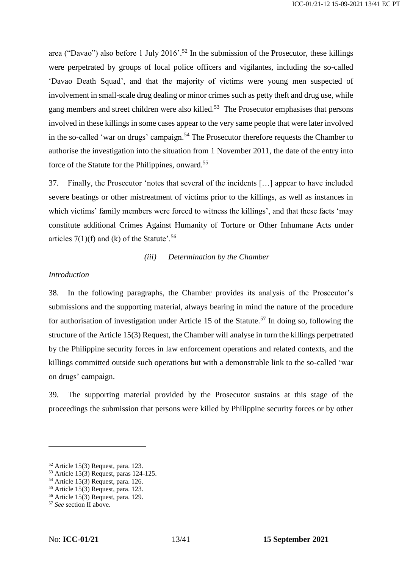area ("Davao") also before 1 July 2016'.<sup>52</sup> In the submission of the Prosecutor, these killings were perpetrated by groups of local police officers and vigilantes, including the so-called 'Davao Death Squad', and that the majority of victims were young men suspected of involvement in small-scale drug dealing or minor crimes such as petty theft and drug use, while gang members and street children were also killed.<sup>53</sup> The Prosecutor emphasises that persons involved in these killings in some cases appear to the very same people that were later involved in the so-called 'war on drugs' campaign.<sup>54</sup> The Prosecutor therefore requests the Chamber to authorise the investigation into the situation from 1 November 2011, the date of the entry into force of the Statute for the Philippines, onward.<sup>55</sup>

37. Finally, the Prosecutor 'notes that several of the incidents […] appear to have included severe beatings or other mistreatment of victims prior to the killings, as well as instances in which victims' family members were forced to witness the killings', and that these facts 'may constitute additional Crimes Against Humanity of Torture or Other Inhumane Acts under articles  $7(1)(f)$  and (k) of the Statute'.<sup>56</sup>

#### *(iii) Determination by the Chamber*

### <span id="page-12-1"></span><span id="page-12-0"></span>*Introduction*

38. In the following paragraphs, the Chamber provides its analysis of the Prosecutor's submissions and the supporting material, always bearing in mind the nature of the procedure for authorisation of investigation under Article 15 of the Statute.<sup>57</sup> In doing so, following the structure of the Article 15(3) Request, the Chamber will analyse in turn the killings perpetrated by the Philippine security forces in law enforcement operations and related contexts, and the killings committed outside such operations but with a demonstrable link to the so-called 'war on drugs' campaign.

39. The supporting material provided by the Prosecutor sustains at this stage of the proceedings the submission that persons were killed by Philippine security forces or by other

<sup>52</sup> Article 15(3) Request, para. 123.

 $53$  Article 15(3) Request, paras 124-125.

<sup>54</sup> Article 15(3) Request, para. 126.

<sup>55</sup> Article 15(3) Request, para. 123.

<sup>56</sup> Article 15(3) Request, para. 129.

<sup>57</sup> *See* section [II](#page-4-0) above.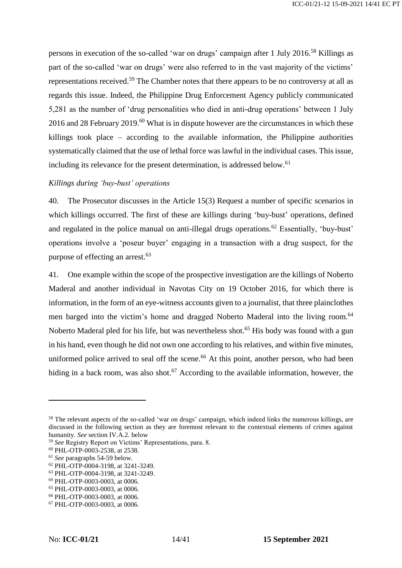persons in execution of the so-called 'war on drugs' campaign after 1 July 2016.<sup>58</sup> Killings as part of the so-called 'war on drugs' were also referred to in the vast majority of the victims' representations received.<sup>59</sup> The Chamber notes that there appears to be no controversy at all as regards this issue. Indeed, the Philippine Drug Enforcement Agency publicly communicated 5,281 as the number of 'drug personalities who died in anti-drug operations' between 1 July 2016 and 28 February 2019.<sup>60</sup> What is in dispute however are the circumstances in which these killings took place – according to the available information, the Philippine authorities systematically claimed that the use of lethal force was lawful in the individual cases. This issue, including its relevance for the present determination, is addressed below.<sup>61</sup>

#### <span id="page-13-0"></span>*Killings during 'buy-bust' operations*

40. The Prosecutor discusses in the Article 15(3) Request a number of specific scenarios in which killings occurred. The first of these are killings during 'buy-bust' operations, defined and regulated in the police manual on anti-illegal drugs operations.<sup>62</sup> Essentially, 'buy-bust' operations involve a 'poseur buyer' engaging in a transaction with a drug suspect, for the purpose of effecting an arrest.<sup>63</sup>

41. One example within the scope of the prospective investigation are the killings of Noberto Maderal and another individual in Navotas City on 19 October 2016, for which there is information, in the form of an eye-witness accounts given to a journalist, that three plainclothes men barged into the victim's home and dragged Noberto Maderal into the living room.<sup>64</sup> Noberto Maderal pled for his life, but was nevertheless shot.<sup>65</sup> His body was found with a gun in his hand, even though he did not own one according to his relatives, and within five minutes, uniformed police arrived to seal off the scene.<sup>66</sup> At this point, another person, who had been hiding in a back room, was also shot.<sup>67</sup> According to the available information, however, the

<sup>&</sup>lt;sup>58</sup> The relevant aspects of the so-called 'war on drugs' campaign, which indeed links the numerous killings, are discussed in the following section as they are foremost relevant to the contextual elements of crimes against humanity. *See* section [IV.A.2.](#page-24-0) below

<sup>59</sup> *See* Registry Report on Victims' Representations, para. 8.

<sup>60</sup> PHL-OTP-0003-2538, at 2538.

<sup>61</sup> *See* paragraph[s 54](#page-18-1)[-59](#page-20-1) below.

<sup>62</sup> PHL-OTP-0004-3198, at 3241-3249.

<sup>63</sup> PHL-OTP-0004-3198, at 3241-3249.

<sup>64</sup> PHL-OTP-0003-0003, at 0006.

<sup>65</sup> PHL-OTP-0003-0003, at 0006.

<sup>66</sup> PHL-OTP-0003-0003, at 0006.

<sup>67</sup> PHL-OTP-0003-0003, at 0006.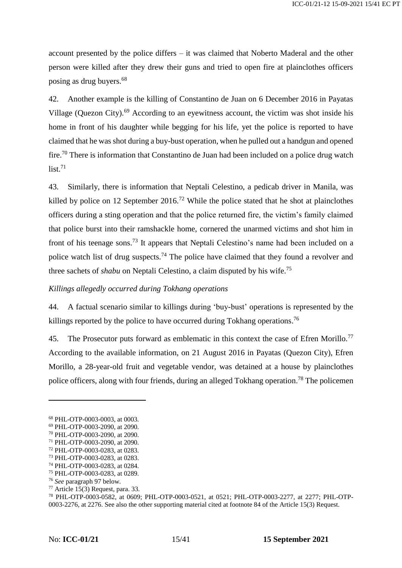account presented by the police differs – it was claimed that Noberto Maderal and the other person were killed after they drew their guns and tried to open fire at plainclothes officers posing as drug buyers.<sup>68</sup>

42. Another example is the killing of Constantino de Juan on 6 December 2016 in Payatas Village (Quezon City).<sup>69</sup> According to an eyewitness account, the victim was shot inside his home in front of his daughter while begging for his life, yet the police is reported to have claimed that he was shot during a buy-bust operation, when he pulled out a handgun and opened fire.<sup>70</sup> There is information that Constantino de Juan had been included on a police drug watch  $list.71$ 

<span id="page-14-1"></span>43. Similarly, there is information that Neptali Celestino, a pedicab driver in Manila, was killed by police on 12 September  $2016<sup>72</sup>$  While the police stated that he shot at plainclothes officers during a sting operation and that the police returned fire, the victim's family claimed that police burst into their ramshackle home, cornered the unarmed victims and shot him in front of his teenage sons.<sup>73</sup> It appears that Neptali Celestino's name had been included on a police watch list of drug suspects.<sup>74</sup> The police have claimed that they found a revolver and three sachets of *shabu* on Neptali Celestino, a claim disputed by his wife.<sup>75</sup>

#### <span id="page-14-0"></span>*Killings allegedly occurred during Tokhang operations*

44. A factual scenario similar to killings during 'buy-bust' operations is represented by the killings reported by the police to have occurred during Tokhang operations.<sup>76</sup>

45. The Prosecutor puts forward as emblematic in this context the case of Efren Morillo.<sup>77</sup> According to the available information, on 21 August 2016 in Payatas (Quezon City), Efren Morillo, a 28-year-old fruit and vegetable vendor, was detained at a house by plainclothes police officers, along with four friends, during an alleged Tokhang operation.<sup>78</sup> The policemen

- <sup>76</sup> *See* paragraph [97](#page-33-0) below.
- $77$  Article 15(3) Request, para. 33.

<sup>68</sup> PHL-OTP-0003-0003, at 0003.

<sup>69</sup> PHL-OTP-0003-2090, at 2090.

<sup>70</sup> PHL-OTP-0003-2090, at 2090.

<sup>71</sup> PHL-OTP-0003-2090, at 2090.

<sup>72</sup> PHL-OTP-0003-0283, at 0283.

<sup>73</sup> PHL-OTP-0003-0283, at 0283.

<sup>74</sup> PHL-OTP-0003-0283, at 0284.

<sup>75</sup> PHL-OTP-0003-0283, at 0289.

<sup>78</sup> PHL-OTP-0003-0582, at 0609; PHL-OTP-0003-0521, at 0521; PHL-OTP-0003-2277, at 2277; PHL-OTP-0003-2276, at 2276. See also the other supporting material cited at footnote 84 of the Article 15(3) Request.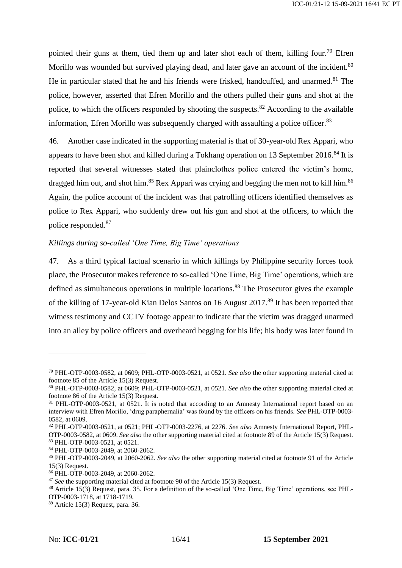pointed their guns at them, tied them up and later shot each of them, killing four.<sup>79</sup> Efren Morillo was wounded but survived playing dead, and later gave an account of the incident.<sup>80</sup> He in particular stated that he and his friends were frisked, handcuffed, and unarmed.<sup>81</sup> The police, however, asserted that Efren Morillo and the others pulled their guns and shot at the police, to which the officers responded by shooting the suspects.<sup>82</sup> According to the available information, Efren Morillo was subsequently charged with assaulting a police officer.<sup>83</sup>

46. Another case indicated in the supporting material is that of 30-year-old Rex Appari, who appears to have been shot and killed during a Tokhang operation on 13 September 2016.<sup>84</sup> It is reported that several witnesses stated that plainclothes police entered the victim's home, dragged him out, and shot him.<sup>85</sup> Rex Appari was crying and begging the men not to kill him.<sup>86</sup> Again, the police account of the incident was that patrolling officers identified themselves as police to Rex Appari, who suddenly drew out his gun and shot at the officers, to which the police responded.<sup>87</sup>

### <span id="page-15-0"></span>*Killings during so-called 'One Time, Big Time' operations*

47. As a third typical factual scenario in which killings by Philippine security forces took place, the Prosecutor makes reference to so-called 'One Time, Big Time' operations, which are defined as simultaneous operations in multiple locations.<sup>88</sup> The Prosecutor gives the example of the killing of 17-year-old Kian Delos Santos on 16 August 2017.<sup>89</sup> It has been reported that witness testimony and CCTV footage appear to indicate that the victim was dragged unarmed into an alley by police officers and overheard begging for his life; his body was later found in

<sup>79</sup> PHL-OTP-0003-0582, at 0609; PHL-OTP-0003-0521, at 0521. *See also* the other supporting material cited at footnote 85 of the Article 15(3) Request.

<sup>80</sup> PHL-OTP-0003-0582, at 0609; PHL-OTP-0003-0521, at 0521. *See also* the other supporting material cited at footnote 86 of the Article 15(3) Request.

<sup>81</sup> PHL-OTP-0003-0521, at 0521. It is noted that according to an Amnesty International report based on an interview with Efren Morillo, 'drug paraphernalia' was found by the officers on his friends. *See* PHL-OTP-0003- 0582, at 0609.

<sup>82</sup> PHL-OTP-0003-0521, at 0521; PHL-OTP-0003-2276, at 2276. *See also* Amnesty International Report, PHL-OTP-0003-0582, at 0609. *See also* the other supporting material cited at footnote 89 of the Article 15(3) Request. <sup>83</sup> PHL-OTP-0003-0521, at 0521.

<sup>84</sup> PHL-OTP-0003-2049, at 2060-2062.

<sup>85</sup> PHL-OTP-0003-2049, at 2060-2062. *See also* the other supporting material cited at footnote 91 of the Article 15(3) Request.

<sup>86</sup> PHL-OTP-0003-2049, at 2060-2062.

<sup>87</sup> *See* the supporting material cited at footnote 90 of the Article 15(3) Request.

<sup>88</sup> Article 15(3) Request, para. 35. For a definition of the so-called 'One Time, Big Time' operations, see PHL-OTP-0003-1718, at 1718-1719.

 $89$  Article 15(3) Request, para. 36.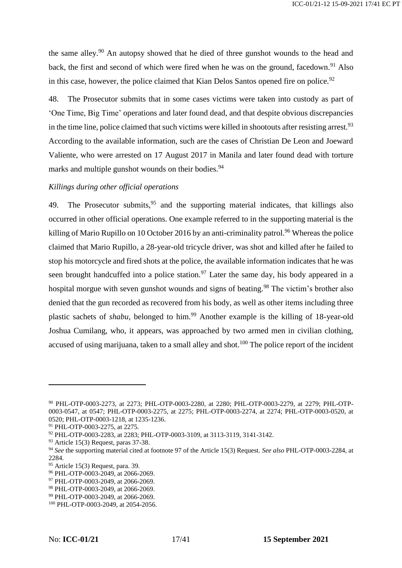the same alley.<sup>90</sup> An autopsy showed that he died of three gunshot wounds to the head and back, the first and second of which were fired when he was on the ground, facedown.<sup>91</sup> Also in this case, however, the police claimed that Kian Delos Santos opened fire on police.<sup>92</sup>

48. The Prosecutor submits that in some cases victims were taken into custody as part of 'One Time, Big Time' operations and later found dead, and that despite obvious discrepancies in the time line, police claimed that such victims were killed in shootouts after resisting arrest.<sup>93</sup> According to the available information, such are the cases of Christian De Leon and Joeward Valiente, who were arrested on 17 August 2017 in Manila and later found dead with torture marks and multiple gunshot wounds on their bodies.<sup>94</sup>

#### <span id="page-16-0"></span>*Killings during other official operations*

49. The Prosecutor submits,  $95$  and the supporting material indicates, that killings also occurred in other official operations. One example referred to in the supporting material is the killing of Mario Rupillo on 10 October 2016 by an anti-criminality patrol.<sup>96</sup> Whereas the police claimed that Mario Rupillo, a 28-year-old tricycle driver, was shot and killed after he failed to stop his motorcycle and fired shots at the police, the available information indicates that he was seen brought handcuffed into a police station.<sup>97</sup> Later the same day, his body appeared in a hospital morgue with seven gunshot wounds and signs of beating.<sup>98</sup> The victim's brother also denied that the gun recorded as recovered from his body, as well as other items including three plastic sachets of *shabu*, belonged to him.<sup>99</sup> Another example is the killing of 18-year-old Joshua Cumilang, who, it appears, was approached by two armed men in civilian clothing, accused of using marijuana, taken to a small alley and shot.<sup>100</sup> The police report of the incident

<sup>90</sup> PHL-OTP-0003-2273, at 2273; PHL-OTP-0003-2280, at 2280; PHL-OTP-0003-2279, at 2279; PHL-OTP-0003-0547, at 0547; PHL-OTP-0003-2275, at 2275; PHL-OTP-0003-2274, at 2274; PHL-OTP-0003-0520, at 0520; PHL-OTP-0003-1218, at 1235-1236.

<sup>91</sup> PHL-OTP-0003-2275, at 2275.

<sup>92</sup> PHL-OTP-0003-2283, at 2283; PHL-OTP-0003-3109, at 3113-3119, 3141-3142.

<sup>93</sup> Article 15(3) Request, paras 37-38.

<sup>94</sup> *See* the supporting material cited at footnote 97 of the Article 15(3) Request. *See also* PHL-OTP-0003-2284, at 2284.

<sup>&</sup>lt;sup>95</sup> Article 15(3) Request, para. 39.

<sup>96</sup> PHL-OTP-0003-2049, at 2066-2069.

<sup>97</sup> PHL-OTP-0003-2049, at 2066-2069.

<sup>98</sup> PHL-OTP-0003-2049, at 2066-2069.

<sup>99</sup> PHL-OTP-0003-2049, at 2066-2069.

<sup>100</sup> PHL-OTP-0003-2049, at 2054-2056.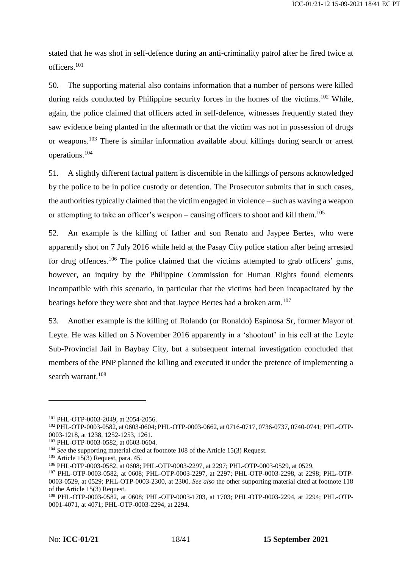stated that he was shot in self-defence during an anti-criminality patrol after he fired twice at officers.<sup>101</sup>

50. The supporting material also contains information that a number of persons were killed during raids conducted by Philippine security forces in the homes of the victims.<sup>102</sup> While, again, the police claimed that officers acted in self-defence, witnesses frequently stated they saw evidence being planted in the aftermath or that the victim was not in possession of drugs or weapons.<sup>103</sup> There is similar information available about killings during search or arrest operations.<sup>104</sup>

51. A slightly different factual pattern is discernible in the killings of persons acknowledged by the police to be in police custody or detention. The Prosecutor submits that in such cases, the authorities typically claimed that the victim engaged in violence – such as waving a weapon or attempting to take an officer's weapon – causing officers to shoot and kill them.<sup>105</sup>

52. An example is the killing of father and son Renato and Jaypee Bertes, who were apparently shot on 7 July 2016 while held at the Pasay City police station after being arrested for drug offences.<sup>106</sup> The police claimed that the victims attempted to grab officers' guns, however, an inquiry by the Philippine Commission for Human Rights found elements incompatible with this scenario, in particular that the victims had been incapacitated by the beatings before they were shot and that Jaypee Bertes had a broken arm.<sup>107</sup>

53. Another example is the killing of Rolando (or Ronaldo) Espinosa Sr, former Mayor of Leyte. He was killed on 5 November 2016 apparently in a 'shootout' in his cell at the Leyte Sub-Provincial Jail in Baybay City, but a subsequent internal investigation concluded that members of the PNP planned the killing and executed it under the pretence of implementing a search warrant.<sup>108</sup>

<sup>101</sup> PHL-OTP-0003-2049, at 2054-2056.

<sup>102</sup> PHL-OTP-0003-0582, at 0603-0604; PHL-OTP-0003-0662, at 0716-0717, 0736-0737, 0740-0741; PHL-OTP-0003-1218, at 1238, 1252-1253, 1261.

<sup>103</sup> PHL-OTP-0003-0582, at 0603-0604.

<sup>104</sup> *See* the supporting material cited at footnote 108 of the Article 15(3) Request.

 $105$  Article 15(3) Request, para. 45.

<sup>106</sup> PHL-OTP-0003-0582, at 0608; PHL-OTP-0003-2297, at 2297; PHL-OTP-0003-0529, at 0529.

<sup>107</sup> PHL-OTP-0003-0582, at 0608; PHL-OTP-0003-2297, at 2297; PHL-OTP-0003-2298, at 2298; PHL-OTP-0003-0529, at 0529; PHL-OTP-0003-2300, at 2300. *See also* the other supporting material cited at footnote 118 of the Article 15(3) Request.

<sup>108</sup> PHL-OTP-0003-0582, at 0608; PHL-OTP-0003-1703, at 1703; PHL-OTP-0003-2294, at 2294; PHL-OTP-0001-4071, at 4071; PHL-OTP-0003-2294, at 2294.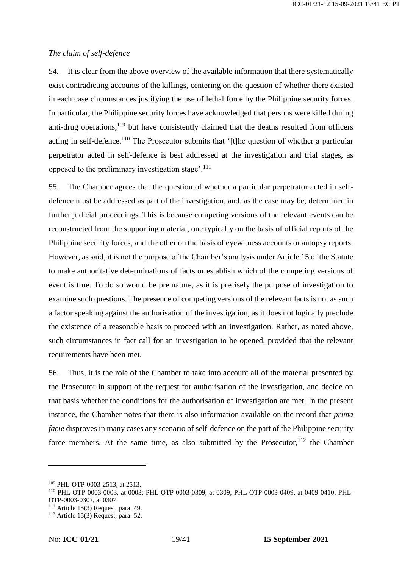### <span id="page-18-0"></span>*The claim of self-defence*

<span id="page-18-1"></span>54. It is clear from the above overview of the available information that there systematically exist contradicting accounts of the killings, centering on the question of whether there existed in each case circumstances justifying the use of lethal force by the Philippine security forces. In particular, the Philippine security forces have acknowledged that persons were killed during anti-drug operations,<sup>109</sup> but have consistently claimed that the deaths resulted from officers acting in self-defence.<sup>110</sup> The Prosecutor submits that '[t]he question of whether a particular perpetrator acted in self-defence is best addressed at the investigation and trial stages, as opposed to the preliminary investigation stage'.<sup>111</sup>

55. The Chamber agrees that the question of whether a particular perpetrator acted in selfdefence must be addressed as part of the investigation, and, as the case may be, determined in further judicial proceedings. This is because competing versions of the relevant events can be reconstructed from the supporting material, one typically on the basis of official reports of the Philippine security forces, and the other on the basis of eyewitness accounts or autopsy reports. However, as said, it is not the purpose of the Chamber's analysis under Article 15 of the Statute to make authoritative determinations of facts or establish which of the competing versions of event is true. To do so would be premature, as it is precisely the purpose of investigation to examine such questions. The presence of competing versions of the relevant facts is not as such a factor speaking against the authorisation of the investigation, as it does not logically preclude the existence of a reasonable basis to proceed with an investigation. Rather, as noted above, such circumstances in fact call for an investigation to be opened, provided that the relevant requirements have been met.

56. Thus, it is the role of the Chamber to take into account all of the material presented by the Prosecutor in support of the request for authorisation of the investigation, and decide on that basis whether the conditions for the authorisation of investigation are met. In the present instance, the Chamber notes that there is also information available on the record that *prima facie* disproves in many cases any scenario of self-defence on the part of the Philippine security force members. At the same time, as also submitted by the Prosecutor, $112$  the Chamber

<sup>109</sup> PHL-OTP-0003-2513, at 2513.

<sup>110</sup> PHL-OTP-0003-0003, at 0003; PHL-OTP-0003-0309, at 0309; PHL-OTP-0003-0409, at 0409-0410; PHL-OTP-0003-0307, at 0307.

 $111$  Article 15(3) Request, para. 49.

 $112$  Article 15(3) Request, para. 52.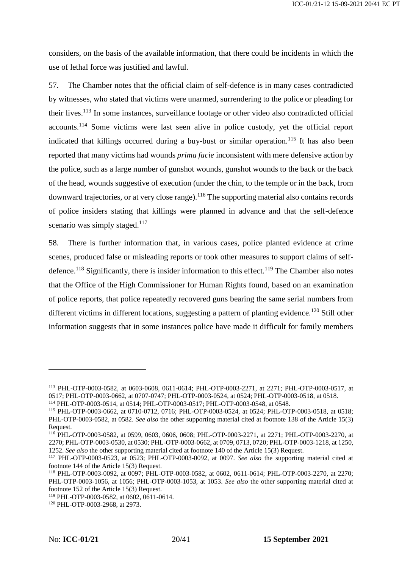considers, on the basis of the available information, that there could be incidents in which the use of lethal force was justified and lawful.

57. The Chamber notes that the official claim of self-defence is in many cases contradicted by witnesses, who stated that victims were unarmed, surrendering to the police or pleading for their lives.<sup>113</sup> In some instances, surveillance footage or other video also contradicted official accounts.<sup>114</sup> Some victims were last seen alive in police custody, yet the official report indicated that killings occurred during a buy-bust or similar operation.<sup>115</sup> It has also been reported that many victims had wounds *prima facie* inconsistent with mere defensive action by the police, such as a large number of gunshot wounds, gunshot wounds to the back or the back of the head, wounds suggestive of execution (under the chin, to the temple or in the back, from downward trajectories, or at very close range).<sup>116</sup> The supporting material also contains records of police insiders stating that killings were planned in advance and that the self-defence scenario was simply staged.<sup>117</sup>

58. There is further information that, in various cases, police planted evidence at crime scenes, produced false or misleading reports or took other measures to support claims of selfdefence.<sup>118</sup> Significantly, there is insider information to this effect.<sup>119</sup> The Chamber also notes that the Office of the High Commissioner for Human Rights found, based on an examination of police reports, that police repeatedly recovered guns bearing the same serial numbers from different victims in different locations, suggesting a pattern of planting evidence.<sup>120</sup> Still other information suggests that in some instances police have made it difficult for family members

<sup>113</sup> PHL-OTP-0003-0582, at 0603-0608, 0611-0614; PHL-OTP-0003-2271, at 2271; PHL-OTP-0003-0517, at 0517; PHL-OTP-0003-0662, at 0707-0747; PHL-OTP-0003-0524, at 0524; PHL-OTP-0003-0518, at 0518.

<sup>114</sup> PHL-OTP-0003-0514, at 0514; PHL-OTP-0003-0517; PHL-OTP-0003-0548, at 0548.

<sup>115</sup> PHL-OTP-0003-0662, at 0710-0712, 0716; PHL-OTP-0003-0524, at 0524; PHL-OTP-0003-0518, at 0518; PHL-OTP-0003-0582, at 0582. *See also* the other supporting material cited at footnote 138 of the Article 15(3) Request.

<sup>116</sup> PHL-OTP-0003-0582, at 0599, 0603, 0606, 0608; PHL-OTP-0003-2271, at 2271; PHL-OTP-0003-2270, at 2270; PHL-OTP-0003-0530, at 0530; PHL-OTP-0003-0662, at 0709, 0713, 0720; PHL-OTP-0003-1218, at 1250, 1252. *See also* the other supporting material cited at footnote 140 of the Article 15(3) Request.

<sup>117</sup> PHL-OTP-0003-0523, at 0523; PHL-OTP-0003-0092, at 0097. *See also* the supporting material cited at footnote 144 of the Article 15(3) Request.

<sup>118</sup> PHL-OTP-0003-0092, at 0097; PHL-OTP-0003-0582, at 0602, 0611-0614; PHL-OTP-0003-2270, at 2270; PHL-OTP-0003-1056, at 1056; PHL-OTP-0003-1053, at 1053. *See also* the other supporting material cited at footnote 152 of the Article 15(3) Request.

<sup>119</sup> PHL-OTP-0003-0582, at 0602, 0611-0614.

<sup>120</sup> PHL-OTP-0003-2968, at 2973.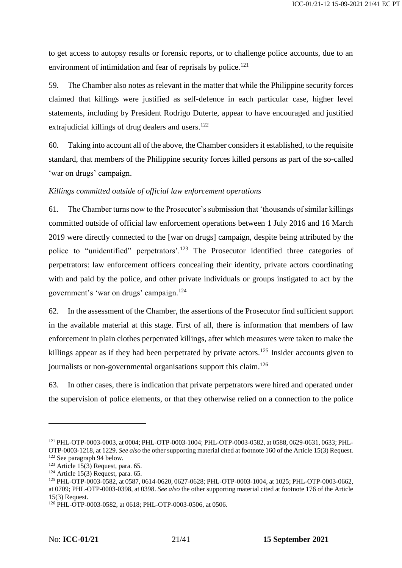to get access to autopsy results or forensic reports, or to challenge police accounts, due to an environment of intimidation and fear of reprisals by police. $121$ 

<span id="page-20-1"></span>59. The Chamber also notes as relevant in the matter that while the Philippine security forces claimed that killings were justified as self-defence in each particular case, higher level statements, including by President Rodrigo Duterte, appear to have encouraged and justified extrajudicial killings of drug dealers and users.<sup>122</sup>

60. Taking into account all of the above, the Chamber considers it established, to the requisite standard, that members of the Philippine security forces killed persons as part of the so-called 'war on drugs' campaign.

## <span id="page-20-0"></span>*Killings committed outside of official law enforcement operations*

61. The Chamber turns now to the Prosecutor's submission that 'thousands of similar killings committed outside of official law enforcement operations between 1 July 2016 and 16 March 2019 were directly connected to the [war on drugs] campaign, despite being attributed by the police to "unidentified" perpetrators'.<sup>123</sup> The Prosecutor identified three categories of perpetrators: law enforcement officers concealing their identity, private actors coordinating with and paid by the police, and other private individuals or groups instigated to act by the government's 'war on drugs' campaign.<sup>124</sup>

62. In the assessment of the Chamber, the assertions of the Prosecutor find sufficient support in the available material at this stage. First of all, there is information that members of law enforcement in plain clothes perpetrated killings, after which measures were taken to make the killings appear as if they had been perpetrated by private actors.<sup>125</sup> Insider accounts given to journalists or non-governmental organisations support this claim.<sup>126</sup>

<span id="page-20-2"></span>63. In other cases, there is indication that private perpetrators were hired and operated under the supervision of police elements, or that they otherwise relied on a connection to the police

<sup>121</sup> PHL-OTP-0003-0003, at 0004; PHL-OTP-0003-1004; PHL-OTP-0003-0582, at 0588, 0629-0631, 0633; PHL-OTP-0003-1218, at 1229. *See also* the other supporting material cited at footnote 160 of the Article 15(3) Request. <sup>122</sup> See paragrap[h 94](#page-31-1) below.

 $123$  Article 15(3) Request, para. 65.

 $124$  Article 15(3) Request, para. 65.

<sup>125</sup> PHL-OTP-0003-0582, at 0587, 0614-0620, 0627-0628; PHL-OTP-0003-1004, at 1025; PHL-OTP-0003-0662, at 0709; PHL-OTP-0003-0398, at 0398. *See also* the other supporting material cited at footnote 176 of the Article 15(3) Request.

<sup>126</sup> PHL-OTP-0003-0582, at 0618; PHL-OTP-0003-0506, at 0506.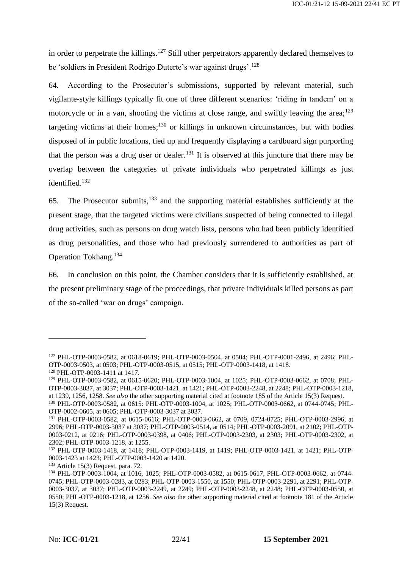in order to perpetrate the killings.<sup>127</sup> Still other perpetrators apparently declared themselves to be 'soldiers in President Rodrigo Duterte's war against drugs'.<sup>128</sup>

64. According to the Prosecutor's submissions, supported by relevant material, such vigilante-style killings typically fit one of three different scenarios: 'riding in tandem' on a motorcycle or in a van, shooting the victims at close range, and swiftly leaving the area;<sup>129</sup> targeting victims at their homes; $130$  or killings in unknown circumstances, but with bodies disposed of in public locations, tied up and frequently displaying a cardboard sign purporting that the person was a drug user or dealer.<sup>131</sup> It is observed at this juncture that there may be overlap between the categories of private individuals who perpetrated killings as just identified.<sup>132</sup>

65. The Prosecutor submits,<sup>133</sup> and the supporting material establishes sufficiently at the present stage, that the targeted victims were civilians suspected of being connected to illegal drug activities, such as persons on drug watch lists, persons who had been publicly identified as drug personalities, and those who had previously surrendered to authorities as part of Operation Tokhang.<sup>134</sup>

66. In conclusion on this point, the Chamber considers that it is sufficiently established, at the present preliminary stage of the proceedings, that private individuals killed persons as part of the so-called 'war on drugs' campaign.

<sup>127</sup> PHL-OTP-0003-0582, at 0618-0619; PHL-OTP-0003-0504, at 0504; PHL-OTP-0001-2496, at 2496; PHL-OTP-0003-0503, at 0503; PHL-OTP-0003-0515, at 0515; PHL-OTP-0003-1418, at 1418.

<sup>128</sup> PHL-OTP-0003-1411 at 1417.

<sup>129</sup> PHL-OTP-0003-0582, at 0615-0620; PHL-OTP-0003-1004, at 1025; PHL-OTP-0003-0662, at 0708; PHL-OTP-0003-3037, at 3037; PHL-OTP-0003-1421, at 1421; PHL-OTP-0003-2248, at 2248; PHL-OTP-0003-1218, at 1239, 1256, 1258. *See also* the other supporting material cited at footnote 185 of the Article 15(3) Request.

<sup>130</sup> PHL-OTP-0003-0582, at 0615: PHL-OTP-0003-1004, at 1025; PHL-OTP-0003-0662, at 0744-0745; PHL-OTP-0002-0605, at 0605; PHL-OTP-0003-3037 at 3037.

<sup>131</sup> PHL-OTP-0003-0582, at 0615-0616; PHL-OTP-0003-0662, at 0709, 0724-0725; PHL-OTP-0003-2996, at 2996; PHL-OTP-0003-3037 at 3037; PHL-OTP-0003-0514, at 0514; PHL-OTP-0003-2091, at 2102; PHL-OTP-0003-0212, at 0216; PHL-OTP-0003-0398, at 0406; PHL-OTP-0003-2303, at 2303; PHL-OTP-0003-2302, at 2302; PHL-OTP-0003-1218, at 1255.

<sup>132</sup> PHL-OTP-0003-1418, at 1418; PHL-OTP-0003-1419, at 1419; PHL-OTP-0003-1421, at 1421; PHL-OTP-0003-1423 at 1423; PHL-OTP-0003-1420 at 1420.

<sup>133</sup> Article 15(3) Request, para. 72.

<sup>134</sup> PHL-OTP-0003-1004, at 1016, 1025; PHL-OTP-0003-0582, at 0615-0617, PHL-OTP-0003-0662, at 0744- 0745; PHL-OTP-0003-0283, at 0283; PHL-OTP-0003-1550, at 1550; PHL-OTP-0003-2291, at 2291; PHL-OTP-0003-3037, at 3037; PHL-OTP-0003-2249, at 2249; PHL-OTP-0003-2248, at 2248; PHL-OTP-0003-0550, at 0550; PHL-OTP-0003-1218, at 1256. *See also* the other supporting material cited at footnote 181 of the Article 15(3) Request.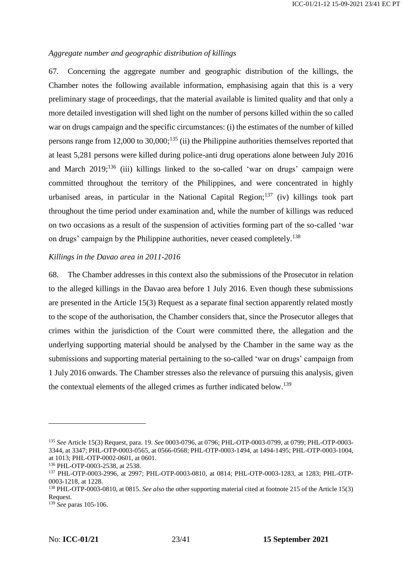#### <span id="page-22-0"></span>*Aggregate number and geographic distribution of killings*

<span id="page-22-2"></span>67. Concerning the aggregate number and geographic distribution of the killings, the Chamber notes the following available information, emphasising again that this is a very preliminary stage of proceedings, that the material available is limited quality and that only a more detailed investigation will shed light on the number of persons killed within the so called war on drugs campaign and the specific circumstances: (i) the estimates of the number of killed persons range from 12,000 to  $30,000$ ;<sup>135</sup> (ii) the Philippine authorities themselves reported that at least 5,281 persons were killed during police-anti drug operations alone between July 2016 and March 2019;<sup>136</sup> (iii) killings linked to the so-called 'war on drugs' campaign were committed throughout the territory of the Philippines, and were concentrated in highly urbanised areas, in particular in the National Capital Region; $137$  (iv) killings took part throughout the time period under examination and, while the number of killings was reduced on two occasions as a result of the suspension of activities forming part of the so-called 'war on drugs' campaign by the Philippine authorities, never ceased completely.<sup>138</sup>

### <span id="page-22-1"></span>*Killings in the Davao area in 2011-2016*

68. The Chamber addresses in this context also the submissions of the Prosecutor in relation to the alleged killings in the Davao area before 1 July 2016. Even though these submissions are presented in the Article 15(3) Request as a separate final section apparently related mostly to the scope of the authorisation, the Chamber considers that, since the Prosecutor alleges that crimes within the jurisdiction of the Court were committed there, the allegation and the underlying supporting material should be analysed by the Chamber in the same way as the submissions and supporting material pertaining to the so-called 'war on drugs' campaign from 1 July 2016 onwards. The Chamber stresses also the relevance of pursuing this analysis, given the contextual elements of the alleged crimes as further indicated below.<sup>139</sup>

<sup>135</sup> *See* Article 15(3) Request, para. 19. *See* 0003-0796, at 0796; PHL-OTP-0003-0799, at 0799; PHL-OTP-0003- 3344, at 3347; PHL-OTP-0003-0565, at 0566-0568; PHL-OTP-0003-1494, at 1494-1495; PHL-OTP-0003-1004, at 1013; PHL-OTP-0002-0601, at 0601.

<sup>136</sup> PHL-OTP-0003-2538, at 2538.

<sup>137</sup> PHL-OTP-0003-2996, at 2997; PHL-OTP-0003-0810, at 0814; PHL-OTP-0003-1283, at 1283; PHL-OTP-0003-1218, at 1228.

<sup>138</sup> PHL-OTP-0003-0810, at 0815. *See also* the other supporting material cited at footnote 215 of the Article 15(3) Request.

<sup>139</sup> *See* paras [105](#page-35-2)[-106.](#page-35-3)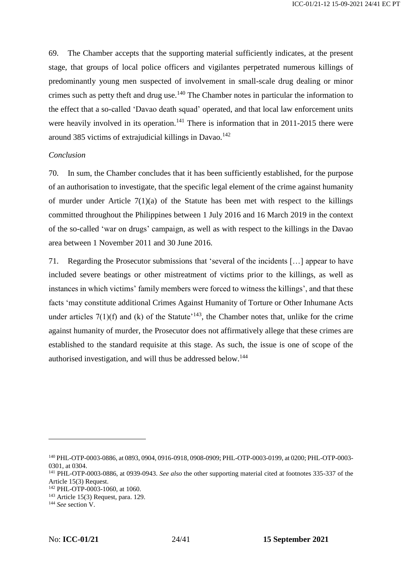<span id="page-23-1"></span>69. The Chamber accepts that the supporting material sufficiently indicates, at the present stage, that groups of local police officers and vigilantes perpetrated numerous killings of predominantly young men suspected of involvement in small-scale drug dealing or minor crimes such as petty theft and drug use.<sup>140</sup> The Chamber notes in particular the information to the effect that a so-called 'Davao death squad' operated, and that local law enforcement units were heavily involved in its operation.<sup>141</sup> There is information that in  $2011-2015$  there were around 385 victims of extrajudicial killings in Davao.<sup>142</sup>

#### <span id="page-23-0"></span>*Conclusion*

70. In sum, the Chamber concludes that it has been sufficiently established, for the purpose of an authorisation to investigate, that the specific legal element of the crime against humanity of murder under Article  $7(1)(a)$  of the Statute has been met with respect to the killings committed throughout the Philippines between 1 July 2016 and 16 March 2019 in the context of the so-called 'war on drugs' campaign, as well as with respect to the killings in the Davao area between 1 November 2011 and 30 June 2016.

71. Regarding the Prosecutor submissions that 'several of the incidents […] appear to have included severe beatings or other mistreatment of victims prior to the killings, as well as instances in which victims' family members were forced to witness the killings', and that these facts 'may constitute additional Crimes Against Humanity of Torture or Other Inhumane Acts under articles  $7(1)(f)$  and (k) of the Statute<sup> $143$ </sup>, the Chamber notes that, unlike for the crime against humanity of murder, the Prosecutor does not affirmatively allege that these crimes are established to the standard requisite at this stage. As such, the issue is one of scope of the authorised investigation, and will thus be addressed below.<sup>144</sup>

<sup>140</sup> PHL-OTP-0003-0886, at 0893, 0904, 0916-0918, 0908-0909; PHL-OTP-0003-0199, at 0200; PHL-OTP-0003- 0301, at 0304.

<sup>141</sup> PHL-OTP-0003-0886, at 0939-0943. *See also* the other supporting material cited at footnotes 335-337 of the Article 15(3) Request.

<sup>142</sup> PHL-OTP-0003-1060, at 1060.

<sup>143</sup> Article 15(3) Request, para. 129.

<sup>144</sup> *See* section [V.](#page-37-1)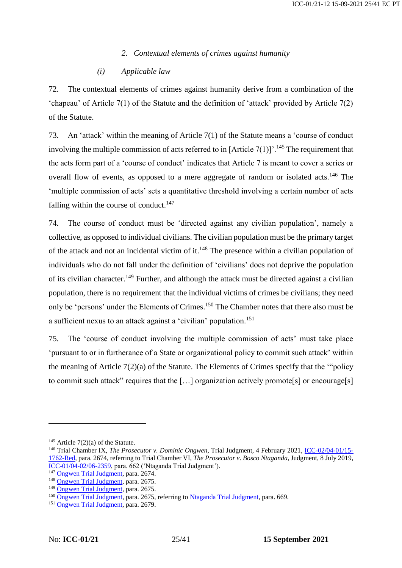#### *2. Contextual elements of crimes against humanity*

#### *(i) Applicable law*

<span id="page-24-1"></span><span id="page-24-0"></span>72. The contextual elements of crimes against humanity derive from a combination of the 'chapeau' of Article 7(1) of the Statute and the definition of 'attack' provided by Article 7(2) of the Statute.

73. An 'attack' within the meaning of Article 7(1) of the Statute means a 'course of conduct involving the multiple commission of acts referred to in  $[Article 7(1)]$ <sup>145</sup> The requirement that the acts form part of a 'course of conduct' indicates that Article 7 is meant to cover a series or overall flow of events, as opposed to a mere aggregate of random or isolated acts.<sup>146</sup> The 'multiple commission of acts' sets a quantitative threshold involving a certain number of acts falling within the course of conduct.<sup>147</sup>

74. The course of conduct must be 'directed against any civilian population', namely a collective, as opposed to individual civilians. The civilian population must be the primary target of the attack and not an incidental victim of it.<sup>148</sup> The presence within a civilian population of individuals who do not fall under the definition of 'civilians' does not deprive the population of its civilian character.<sup>149</sup> Further, and although the attack must be directed against a civilian population, there is no requirement that the individual victims of crimes be civilians; they need only be 'persons' under the Elements of Crimes.<sup>150</sup> The Chamber notes that there also must be a sufficient nexus to an attack against a 'civilian' population.<sup>151</sup>

75. The 'course of conduct involving the multiple commission of acts' must take place 'pursuant to or in furtherance of a State or organizational policy to commit such attack' within the meaning of Article 7(2)(a) of the Statute. The Elements of Crimes specify that the '"policy to commit such attack" requires that the [...] organization actively promote[s] or encourage[s]

 $145$  Article 7(2)(a) of the Statute.

<sup>146</sup> Trial Chamber IX, *The Prosecutor v. Dominic Ongwen*, Trial Judgment, 4 February 2021, [ICC-02/04-01/15-](https://www.legal-tools.org/doc/kv27ul/) [1762-Red,](https://www.legal-tools.org/doc/kv27ul/) para. 2674, referring to Trial Chamber VI, *The Prosecutor v. Bosco Ntaganda*, Judgment, 8 July 2019, [ICC-01/04-02/06-2359,](https://www.legal-tools.org/doc/80578a/) para. 662 ('Ntaganda Trial Judgment').

<sup>&</sup>lt;sup>147</sup> [Ongwen Trial Judgment,](https://www.legal-tools.org/doc/kv27ul/) para. 2674.

<sup>148</sup> [Ongwen Trial Judgment,](https://www.legal-tools.org/doc/kv27ul/) para. 2675.

<sup>&</sup>lt;sup>149</sup> [Ongwen Trial Judgment,](https://www.legal-tools.org/doc/kv27ul/) para. 2675.

<sup>&</sup>lt;sup>150</sup> [Ongwen Trial Judgment,](https://www.legal-tools.org/doc/kv27ul/) para. 2675, referring to [Ntaganda Trial Judgment,](https://www.legal-tools.org/doc/80578a/) para. 669.

<sup>151</sup> [Ongwen Trial Judgment,](https://www.legal-tools.org/doc/kv27ul/) para. 2679.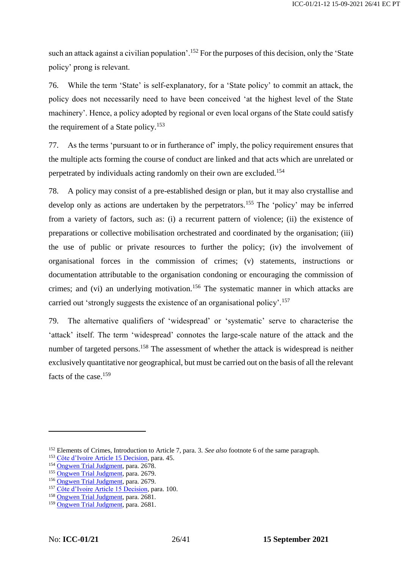such an attack against a civilian population'.<sup>152</sup> For the purposes of this decision, only the 'State' policy' prong is relevant.

76. While the term 'State' is self-explanatory, for a 'State policy' to commit an attack, the policy does not necessarily need to have been conceived 'at the highest level of the State machinery'. Hence, a policy adopted by regional or even local organs of the State could satisfy the requirement of a State policy.<sup>153</sup>

77. As the terms 'pursuant to or in furtherance of' imply, the policy requirement ensures that the multiple acts forming the course of conduct are linked and that acts which are unrelated or perpetrated by individuals acting randomly on their own are excluded.<sup>154</sup>

78. A policy may consist of a pre-established design or plan, but it may also crystallise and develop only as actions are undertaken by the perpetrators.<sup>155</sup> The 'policy' may be inferred from a variety of factors, such as: (i) a recurrent pattern of violence; (ii) the existence of preparations or collective mobilisation orchestrated and coordinated by the organisation; (iii) the use of public or private resources to further the policy; (iv) the involvement of organisational forces in the commission of crimes; (v) statements, instructions or documentation attributable to the organisation condoning or encouraging the commission of crimes; and (vi) an underlying motivation.<sup>156</sup> The systematic manner in which attacks are carried out 'strongly suggests the existence of an organisational policy'.<sup>157</sup>

79. The alternative qualifiers of 'widespread' or 'systematic' serve to characterise the 'attack' itself. The term 'widespread' connotes the large-scale nature of the attack and the number of targeted persons.<sup>158</sup> The assessment of whether the attack is widespread is neither exclusively quantitative nor geographical, but must be carried out on the basis of all the relevant facts of the case.<sup>159</sup>

<sup>152</sup> Elements of Crimes, Introduction to Article 7, para. 3. *See also* footnote 6 of the same paragraph.

<sup>153</sup> [Côte d'Ivoire Article 15 Decision,](https://www.legal-tools.org/doc/e0c0eb/) para. 45.

<sup>&</sup>lt;sup>154</sup> [Ongwen Trial Judgment,](https://www.legal-tools.org/doc/kv27ul/) para. 2678.

<sup>&</sup>lt;sup>155</sup> [Ongwen Trial Judgment,](https://www.legal-tools.org/doc/kv27ul/) para. 2679.

<sup>156</sup> [Ongwen Trial Judgment,](https://www.legal-tools.org/doc/kv27ul/) para. 2679.

<sup>157</sup> [Côte d'Ivoire Article 15 Decision,](https://www.legal-tools.org/doc/e0c0eb/) para. 100.

<sup>&</sup>lt;sup>158</sup> [Ongwen Trial Judgment,](https://www.legal-tools.org/doc/kv27ul/) para. 2681.

<sup>159</sup> [Ongwen Trial Judgment,](https://www.legal-tools.org/doc/kv27ul/) para. 2681.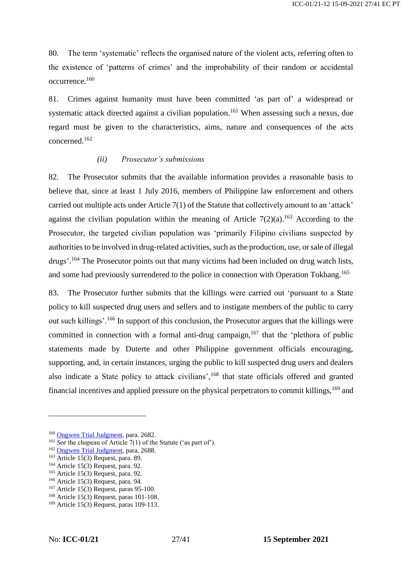80. The term 'systematic' reflects the organised nature of the violent acts, referring often to the existence of 'patterns of crimes' and the improbability of their random or accidental occurrence. 160

81. Crimes against humanity must have been committed 'as part of' a widespread or systematic attack directed against a civilian population.<sup>161</sup> When assessing such a nexus, due regard must be given to the characteristics, aims, nature and consequences of the acts concerned. 162

#### *(ii) Prosecutor's submissions*

<span id="page-26-0"></span>82. The Prosecutor submits that the available information provides a reasonable basis to believe that, since at least 1 July 2016, members of Philippine law enforcement and others carried out multiple acts under Article 7(1) of the Statute that collectively amount to an 'attack' against the civilian population within the meaning of Article  $7(2)(a)$ .<sup>163</sup> According to the Prosecutor, the targeted civilian population was 'primarily Filipino civilians suspected by authorities to be involved in drug-related activities, such as the production, use, or sale of illegal drugs'.<sup>164</sup> The Prosecutor points out that many victims had been included on drug watch lists, and some had previously surrendered to the police in connection with Operation Tokhang.<sup>165</sup>

83. The Prosecutor further submits that the killings were carried out 'pursuant to a State policy to kill suspected drug users and sellers and to instigate members of the public to carry out such killings'.<sup>166</sup> In support of this conclusion, the Prosecutor argues that the killings were committed in connection with a formal anti-drug campaign,<sup>167</sup> that the 'plethora of public statements made by Duterte and other Philippine government officials encouraging, supporting, and, in certain instances, urging the public to kill suspected drug users and dealers also indicate a State policy to attack civilians',<sup>168</sup> that state officials offered and granted financial incentives and applied pressure on the physical perpetrators to commit killings, <sup>169</sup> and

<sup>160</sup> [Ongwen Trial Judgment,](https://www.legal-tools.org/doc/kv27ul/) para. 2682.

<sup>&</sup>lt;sup>161</sup> *See* the chapeau of Article  $7(1)$  of the Statute ('as part of').

<sup>&</sup>lt;sup>162</sup> [Ongwen Trial Judgment,](https://www.legal-tools.org/doc/kv27ul/) para. 2688.

<sup>163</sup> Article 15(3) Request, para. 89.

<sup>164</sup> Article 15(3) Request, para. 92.

<sup>&</sup>lt;sup>165</sup> Article 15(3) Request, para. 92.

<sup>166</sup> Article 15(3) Request, para. 94.

<sup>167</sup> Article 15(3) Request, paras 95-100.

<sup>168</sup> Article 15(3) Request, paras 101-108.

<sup>169</sup> Article 15(3) Request, paras 109-113.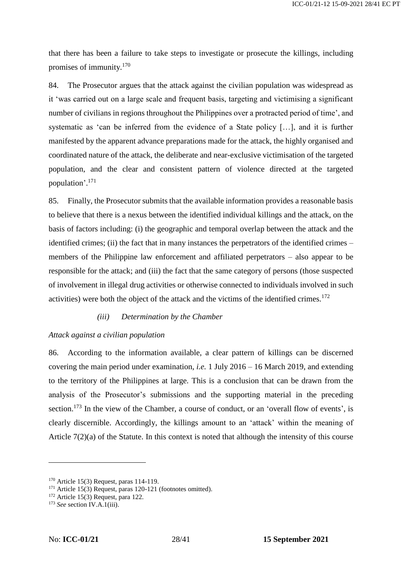that there has been a failure to take steps to investigate or prosecute the killings, including promises of immunity.<sup>170</sup>

84. The Prosecutor argues that the attack against the civilian population was widespread as it 'was carried out on a large scale and frequent basis, targeting and victimising a significant number of civilians in regions throughout the Philippines over a protracted period of time', and systematic as 'can be inferred from the evidence of a State policy […], and it is further manifested by the apparent advance preparations made for the attack, the highly organised and coordinated nature of the attack, the deliberate and near-exclusive victimisation of the targeted population, and the clear and consistent pattern of violence directed at the targeted population'. 171

85. Finally, the Prosecutor submits that the available information provides a reasonable basis to believe that there is a nexus between the identified individual killings and the attack, on the basis of factors including: (i) the geographic and temporal overlap between the attack and the identified crimes; (ii) the fact that in many instances the perpetrators of the identified crimes – members of the Philippine law enforcement and affiliated perpetrators – also appear to be responsible for the attack; and (iii) the fact that the same category of persons (those suspected of involvement in illegal drug activities or otherwise connected to individuals involved in such activities) were both the object of the attack and the victims of the identified crimes.<sup>172</sup>

### *(iii) Determination by the Chamber*

#### <span id="page-27-1"></span><span id="page-27-0"></span>*Attack against a civilian population*

86. According to the information available, a clear pattern of killings can be discerned covering the main period under examination, *i.e.* 1 July 2016 – 16 March 2019, and extending to the territory of the Philippines at large. This is a conclusion that can be drawn from the analysis of the Prosecutor's submissions and the supporting material in the preceding section.<sup>173</sup> In the view of the Chamber, a course of conduct, or an 'overall flow of events', is clearly discernible. Accordingly, the killings amount to an 'attack' within the meaning of Article 7(2)(a) of the Statute. In this context is noted that although the intensity of this course

<sup>170</sup> Article 15(3) Request, paras 114-119.

<sup>&</sup>lt;sup>171</sup> Article 15(3) Request, paras 120-121 (footnotes omitted).

 $172$  Article 15(3) Request, para 122.

<sup>173</sup> *See* section IV.A.1(iii).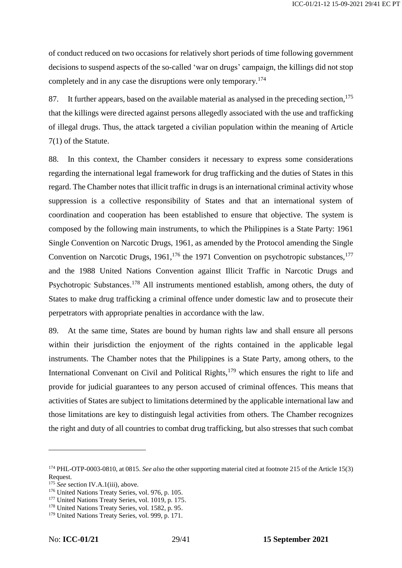of conduct reduced on two occasions for relatively short periods of time following government decisions to suspend aspects of the so-called 'war on drugs' campaign, the killings did not stop completely and in any case the disruptions were only temporary.<sup>174</sup>

87. It further appears, based on the available material as analysed in the preceding section, <sup>175</sup> that the killings were directed against persons allegedly associated with the use and trafficking of illegal drugs. Thus, the attack targeted a civilian population within the meaning of Article 7(1) of the Statute.

<span id="page-28-0"></span>88. In this context, the Chamber considers it necessary to express some considerations regarding the international legal framework for drug trafficking and the duties of States in this regard. The Chamber notes that illicit traffic in drugs is an international criminal activity whose suppression is a collective responsibility of States and that an international system of coordination and cooperation has been established to ensure that objective. The system is composed by the following main instruments, to which the Philippines is a State Party: 1961 Single Convention on Narcotic Drugs, 1961, as amended by the Protocol amending the Single Convention on Narcotic Drugs,  $1961$ ,  $^{176}$  the 1971 Convention on psychotropic substances,  $^{177}$ and the 1988 United Nations Convention against Illicit Traffic in Narcotic Drugs and Psychotropic Substances.<sup>178</sup> All instruments mentioned establish, among others, the duty of States to make drug trafficking a criminal offence under domestic law and to prosecute their perpetrators with appropriate penalties in accordance with the law.

<span id="page-28-1"></span>89. At the same time, States are bound by human rights law and shall ensure all persons within their jurisdiction the enjoyment of the rights contained in the applicable legal instruments. The Chamber notes that the Philippines is a State Party, among others, to the International Convenant on Civil and Political Rights,<sup>179</sup> which ensures the right to life and provide for judicial guarantees to any person accused of criminal offences. This means that activities of States are subject to limitations determined by the applicable international law and those limitations are key to distinguish legal activities from others. The Chamber recognizes the right and duty of all countries to combat drug trafficking, but also stresses that such combat

<sup>174</sup> PHL-OTP-0003-0810, at 0815. *See also* the other supporting material cited at footnote 215 of the Article 15(3) Request.

<sup>&</sup>lt;sup>175</sup> See section IV.A.1(iii), above.

<sup>176</sup> United Nations Treaty Series, vol. 976, p. 105.

<sup>&</sup>lt;sup>177</sup> United Nations Treaty Series, vol. 1019, p. 175.

<sup>178</sup> United Nations Treaty Series, vol. 1582, p. 95.

<sup>&</sup>lt;sup>179</sup> United Nations Treaty Series, vol. 999, p. 171.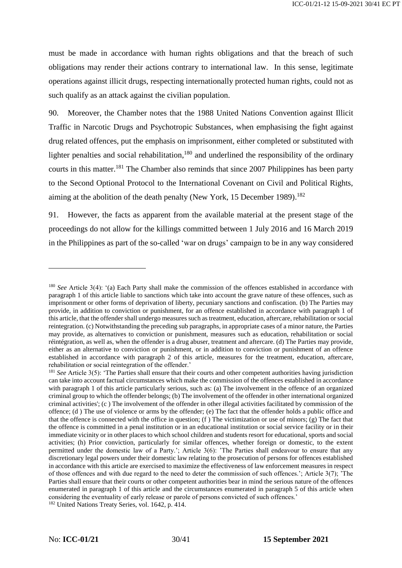must be made in accordance with human rights obligations and that the breach of such obligations may render their actions contrary to international law. In this sense, legitimate operations against illicit drugs, respecting internationally protected human rights, could not as such qualify as an attack against the civilian population.

90. Moreover, the Chamber notes that the 1988 United Nations Convention against Illicit Traffic in Narcotic Drugs and Psychotropic Substances, when emphasising the fight against drug related offences, put the emphasis on imprisonment, either completed or substituted with lighter penalties and social rehabilitation,<sup>180</sup> and underlined the responsibility of the ordinary courts in this matter.<sup>181</sup> The Chamber also reminds that since 2007 Philippines has been party to the Second Optional Protocol to the International Covenant on Civil and Political Rights, aiming at the abolition of the death penalty (New York, 15 December 1989).<sup>182</sup>

91. However, the facts as apparent from the available material at the present stage of the proceedings do not allow for the killings committed between 1 July 2016 and 16 March 2019 in the Philippines as part of the so-called 'war on drugs' campaign to be in any way considered

<sup>&</sup>lt;sup>180</sup> *See* Article 3(4): '(a) Each Party shall make the commission of the offences established in accordance with paragraph 1 of this article liable to sanctions which take into account the grave nature of these offences, such as imprisonment or other forms of deprivation of liberty, pecuniary sanctions and confiscation. (b) The Parties may provide, in addition to conviction or punishment, for an offence established in accordance with paragraph 1 of this article, that the offender shall undergo measures such as treatment, education, aftercare, rehabilitation or social reintegration. (c) Notwithstanding the preceding sub paragraphs, in appropriate cases of a minor nature, the Parties may provide, as alternatives to conviction or punishment, measures such as education, rehabilitation or social réintégration, as well as, when the offender is a drug abuser, treatment and aftercare. (d) The Parties may provide, either as an alternative to conviction or punishment, or in addition to conviction or punishment of an offence established in accordance with paragraph 2 of this article, measures for the treatment, education, aftercare, rehabilitation or social reintegration of the offender.'

<sup>&</sup>lt;sup>181</sup> See Article 3(5): 'The Parties shall ensure that their courts and other competent authorities having jurisdiction can take into account factual circumstances which make the commission of the offences established in accordance with paragraph 1 of this article particularly serious, such as: (a) The involvement in the offence of an organized criminal group to which the offender belongs; (b) The involvement of the offender in other international organized criminal activities'; (c ) The involvement of the offender in other illegal activities facilitated by commission of the offence; (d ) The use of violence or arms by the offender; (e) The fact that the offender holds a public office and that the offence is connected with the office in question; (f ) The victimization or use of minors; (g) The fact that the offence is committed in a penal institution or in an educational institution or social service facility or in their immediate vicinity or in other places to which school children and students resort for educational, sports and social activities; (h) Prior conviction, particularly for similar offences, whether foreign or domestic, to the extent permitted under the domestic law of a Party.'; Article 3(6): 'The Parties shall endeavour to ensure that any discretionary legal powers under their domestic law relating to the prosecution of persons for offences established in accordance with this article are exercised to maximize the effectiveness of law enforcement measures in respect of those offences and with due regard to the need to deter the commission of such offences.'; Article 3(7); 'The Parties shall ensure that their courts or other competent authorities bear in mind the serious nature of the offences enumerated in paragraph 1 of this article and the circumstances enumerated in paragraph 5 of this article when considering the eventuality of early release or parole of persons convicted of such offences.' <sup>182</sup> [United](https://treaties.un.org/Pages/ViewDetails.aspx?src=TREATY&mtdsg_no=IV-12&chapter=4&clang=_en) Nations Treaty Series, vol. 1642, p. 414.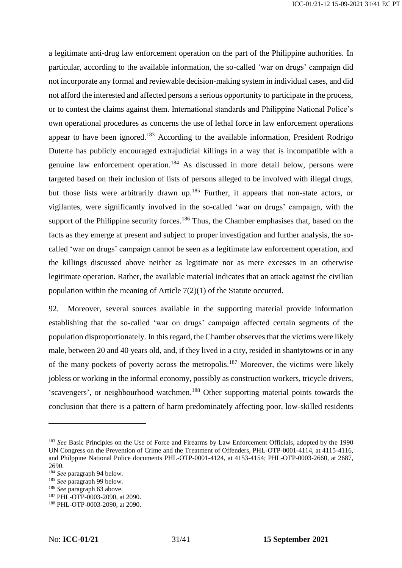a legitimate anti-drug law enforcement operation on the part of the Philippine authorities. In particular, according to the available information, the so-called 'war on drugs' campaign did not incorporate any formal and reviewable decision-making system in individual cases, and did not afford the interested and affected persons a serious opportunity to participate in the process, or to contest the claims against them. International standards and Philippine National Police's own operational procedures as concerns the use of lethal force in law enforcement operations appear to have been ignored.<sup>183</sup> According to the available information, President Rodrigo Duterte has publicly encouraged extrajudicial killings in a way that is incompatible with a genuine law enforcement operation.<sup>184</sup> As discussed in more detail below, persons were targeted based on their inclusion of lists of persons alleged to be involved with illegal drugs, but those lists were arbitrarily drawn up.<sup>185</sup> Further, it appears that non-state actors, or vigilantes, were significantly involved in the so-called 'war on drugs' campaign, with the support of the Philippine security forces.<sup>186</sup> Thus, the Chamber emphasises that, based on the facts as they emerge at present and subject to proper investigation and further analysis, the socalled 'war on drugs' campaign cannot be seen as a legitimate law enforcement operation, and the killings discussed above neither as legitimate nor as mere excesses in an otherwise legitimate operation. Rather, the available material indicates that an attack against the civilian population within the meaning of Article 7(2)(1) of the Statute occurred.

92. Moreover, several sources available in the supporting material provide information establishing that the so-called 'war on drugs' campaign affected certain segments of the population disproportionately. In this regard, the Chamber observes that the victims were likely male, between 20 and 40 years old, and, if they lived in a city, resided in shantytowns or in any of the many pockets of poverty across the metropolis.<sup>187</sup> Moreover, the victims were likely jobless or working in the informal economy, possibly as construction workers, tricycle drivers, 'scavengers', or neighbourhood watchmen.<sup>188</sup> Other supporting material points towards the conclusion that there is a pattern of harm predominately affecting poor, low-skilled residents

<sup>&</sup>lt;sup>183</sup> *See* Basic Principles on the Use of Force and Firearms by Law Enforcement Officials, adopted by the 1990 UN Congress on the Prevention of Crime and the Treatment of Offenders, PHL-OTP-0001-4114, at 4115-4116, and Philppine National Police documents PHL-OTP-0001-4124, at 4153-4154; PHL-OTP-0003-2660, at 2687, 2690.

<sup>184</sup> *See* paragraph [94](#page-31-1) below.

<sup>185</sup> *See* paragraph [99](#page-33-1) below.

<sup>186</sup> *See* paragraph [63](#page-20-2) above.

<sup>187</sup> PHL-OTP-0003-2090, at 2090.

<sup>188</sup> PHL-OTP-0003-2090, at 2090.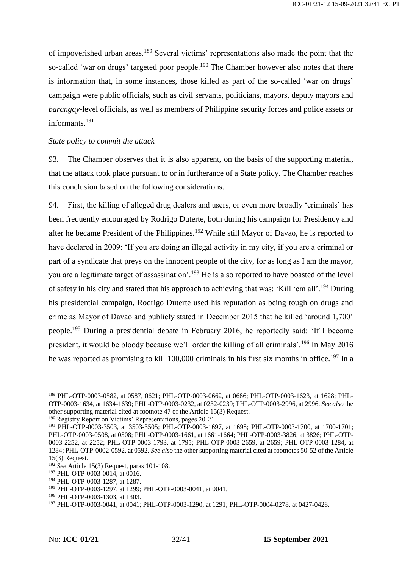of impoverished urban areas.<sup>189</sup> Several victims' representations also made the point that the so-called 'war on drugs' targeted poor people.<sup>190</sup> The Chamber however also notes that there is information that, in some instances, those killed as part of the so-called 'war on drugs' campaign were public officials, such as civil servants, politicians, mayors, deputy mayors and *barangay*-level officials, as well as members of Philippine security forces and police assets or informants.<sup>191</sup>

### <span id="page-31-0"></span>*State policy to commit the attack*

93. The Chamber observes that it is also apparent, on the basis of the supporting material, that the attack took place pursuant to or in furtherance of a State policy. The Chamber reaches this conclusion based on the following considerations.

<span id="page-31-1"></span>94. First, the killing of alleged drug dealers and users, or even more broadly 'criminals' has been frequently encouraged by Rodrigo Duterte, both during his campaign for Presidency and after he became President of the Philippines.<sup>192</sup> While still Mayor of Davao, he is reported to have declared in 2009: 'If you are doing an illegal activity in my city, if you are a criminal or part of a syndicate that preys on the innocent people of the city, for as long as I am the mayor, you are a legitimate target of assassination'.<sup>193</sup> He is also reported to have boasted of the level of safety in his city and stated that his approach to achieving that was: 'Kill 'em all'.<sup>194</sup> During his presidential campaign, Rodrigo Duterte used his reputation as being tough on drugs and crime as Mayor of Davao and publicly stated in December 2015 that he killed 'around 1,700' people.<sup>195</sup> During a presidential debate in February 2016, he reportedly said: 'If I become president, it would be bloody because we'll order the killing of all criminals'.<sup>196</sup> In May 2016 he was reported as promising to kill 100,000 criminals in his first six months in office.<sup>197</sup> In a

<sup>189</sup> PHL-OTP-0003-0582, at 0587, 0621; PHL-OTP-0003-0662, at 0686; PHL-OTP-0003-1623, at 1628; PHL-OTP-0003-1634, at 1634-1639; PHL-OTP-0003-0232, at 0232-0239; PHL-OTP-0003-2996, at 2996. *See also* the other supporting material cited at footnote 47 of the Article 15(3) Request.

<sup>&</sup>lt;sup>190</sup> Registry Report on Victims' Representations, pages 20-21

<sup>191</sup> PHL-OTP-0003-3503, at 3503-3505; PHL-OTP-0003-1697, at 1698; PHL-OTP-0003-1700, at 1700-1701; PHL-OTP-0003-0508, at 0508; PHL-OTP-0003-1661, at 1661-1664; PHL-OTP-0003-3826, at 3826; PHL-OTP-0003-2252, at 2252; PHL-OTP-0003-1793, at 1795; PHL-OTP-0003-2659, at 2659; PHL-OTP-0003-1284, at 1284; PHL-OTP-0002-0592, at 0592. *See also* the other supporting material cited at footnotes 50-52 of the Article 15(3) Request.

<sup>192</sup> *See* Article 15(3) Request, paras 101-108.

<sup>193</sup> PHL-OTP-0003-0014, at 0016.

<sup>194</sup> PHL-OTP-0003-1287, at 1287.

<sup>195</sup> PHL-OTP-0003-1297, at 1299; PHL-OTP-0003-0041, at 0041.

<sup>196</sup> PHL-OTP-0003-1303, at 1303.

<sup>197</sup> PHL-OTP-0003-0041, at 0041; PHL-OTP-0003-1290, at 1291; PHL-OTP-0004-0278, at 0427-0428.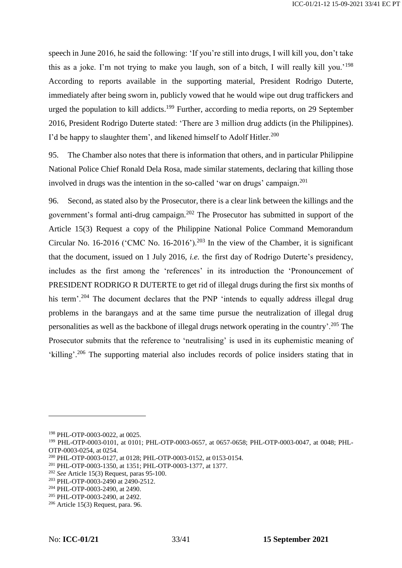speech in June 2016, he said the following: 'If you're still into drugs, I will kill you, don't take this as a joke. I'm not trying to make you laugh, son of a bitch, I will really kill you.<sup>198</sup> According to reports available in the supporting material, President Rodrigo Duterte, immediately after being sworn in, publicly vowed that he would wipe out drug traffickers and urged the population to kill addicts.<sup>199</sup> Further, according to media reports, on 29 September 2016, President Rodrigo Duterte stated: 'There are 3 million drug addicts (in the Philippines). I'd be happy to slaughter them', and likened himself to Adolf Hitler.<sup>200</sup>

95. The Chamber also notes that there is information that others, and in particular Philippine National Police Chief Ronald Dela Rosa, made similar statements, declaring that killing those involved in drugs was the intention in the so-called 'war on drugs' campaign. 201

96. Second, as stated also by the Prosecutor, there is a clear link between the killings and the government's formal anti-drug campaign.<sup>202</sup> The Prosecutor has submitted in support of the Article 15(3) Request a copy of the Philippine National Police Command Memorandum Circular No. 16-2016 ('CMC No. 16-2016').<sup>203</sup> In the view of the Chamber, it is significant that the document, issued on 1 July 2016, *i.e.* the first day of Rodrigo Duterte's presidency, includes as the first among the 'references' in its introduction the 'Pronouncement of PRESIDENT RODRIGO R DUTERTE to get rid of illegal drugs during the first six months of his term'.<sup>204</sup> The document declares that the PNP 'intends to equally address illegal drug problems in the barangays and at the same time pursue the neutralization of illegal drug personalities as well as the backbone of illegal drugs network operating in the country'.<sup>205</sup> The Prosecutor submits that the reference to 'neutralising' is used in its euphemistic meaning of 'killing'.<sup>206</sup> The supporting material also includes records of police insiders stating that in

<sup>198</sup> PHL-OTP-0003-0022, at 0025.

<sup>199</sup> PHL-OTP-0003-0101, at 0101; PHL-OTP-0003-0657, at 0657-0658; PHL-OTP-0003-0047, at 0048; PHL-OTP-0003-0254, at 0254.

<sup>200</sup> PHL-OTP-0003-0127, at 0128; PHL-OTP-0003-0152, at 0153-0154.

<sup>201</sup> PHL-OTP-0003-1350, at 1351; PHL-OTP-0003-1377, at 1377.

<sup>202</sup> *See* Article 15(3) Request, paras 95-100.

<sup>203</sup> PHL-OTP-0003-2490 at 2490-2512.

<sup>204</sup> PHL-OTP-0003-2490, at 2490.

<sup>205</sup> PHL-OTP-0003-2490, at 2492.

 $206$  Article 15(3) Request, para. 96.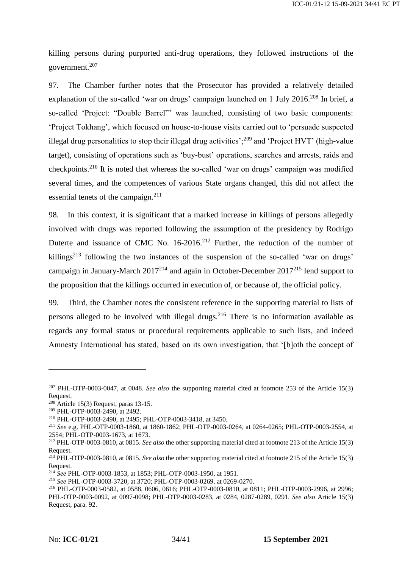killing persons during purported anti-drug operations, they followed instructions of the government.<sup>207</sup>

<span id="page-33-0"></span>97. The Chamber further notes that the Prosecutor has provided a relatively detailed explanation of the so-called 'war on drugs' campaign launched on 1 July 2016.<sup>208</sup> In brief, a so-called 'Project: "Double Barrel"' was launched, consisting of two basic components: 'Project Tokhang', which focused on house-to-house visits carried out to 'persuade suspected illegal drug personalities to stop their illegal drug activities';<sup>209</sup> and 'Project HVT' (high-value target), consisting of operations such as 'buy-bust' operations, searches and arrests, raids and checkpoints.<sup>210</sup> It is noted that whereas the so-called 'war on drugs' campaign was modified several times, and the competences of various State organs changed, this did not affect the essential tenets of the campaign. $211$ 

98. In this context, it is significant that a marked increase in killings of persons allegedly involved with drugs was reported following the assumption of the presidency by Rodrigo Duterte and issuance of CMC No. 16-2016.<sup>212</sup> Further, the reduction of the number of killings<sup>213</sup> following the two instances of the suspension of the so-called 'war on drugs' campaign in January-March  $2017^{214}$  and again in October-December  $2017^{215}$  lend support to the proposition that the killings occurred in execution of, or because of, the official policy.

<span id="page-33-1"></span>99. Third, the Chamber notes the consistent reference in the supporting material to lists of persons alleged to be involved with illegal drugs.<sup>216</sup> There is no information available as regards any formal status or procedural requirements applicable to such lists, and indeed Amnesty International has stated, based on its own investigation, that '[b]oth the concept of

<sup>207</sup> PHL-OTP-0003-0047, at 0048. *See also* the supporting material cited at footnote 253 of the Article 15(3) Request.

 $208$  Article 15(3) Request, paras 13-15.

<sup>209</sup> PHL-OTP-0003-2490, at 2492.

<sup>210</sup> PHL-OTP-0003-2490, at 2495; PHL-OTP-0003-3418, at 3450.

<sup>211</sup> *See* e.g. PHL-OTP-0003-1860, at 1860-1862; PHL-OTP-0003-0264, at 0264-0265; PHL-OTP-0003-2554, at 2554; PHL-OTP-0003-1673, at 1673.

<sup>212</sup> PHL-OTP-0003-0810, at 0815. *See also* the other supporting material cited at footnote 213 of the Article 15(3) Request.

<sup>213</sup> PHL-OTP-0003-0810, at 0815. *See also* the other supporting material cited at footnote 215 of the Article 15(3) Request.

<sup>214</sup> *See* PHL-OTP-0003-1853, at 1853; PHL-OTP-0003-1950, at 1951.

<sup>215</sup> *See* PHL-OTP-0003-3720, at 3720; PHL-OTP-0003-0269, at 0269-0270.

<sup>216</sup> PHL-OTP-0003-0582, at 0588, 0606, 0616; PHL-OTP-0003-0810, at 0811; PHL-OTP-0003-2996, at 2996; PHL-OTP-0003-0092, at 0097-0098; PHL-OTP-0003-0283, at 0284, 0287-0289, 0291. *See also* Article 15(3) Request, para. 92.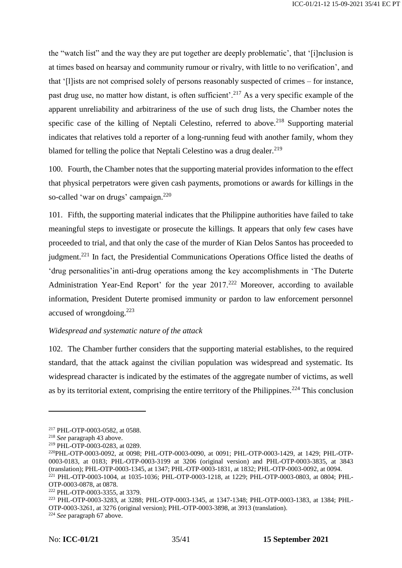the "watch list" and the way they are put together are deeply problematic', that '[i]nclusion is at times based on hearsay and community rumour or rivalry, with little to no verification', and that '[l]ists are not comprised solely of persons reasonably suspected of crimes – for instance, past drug use, no matter how distant, is often sufficient'.<sup>217</sup> As a very specific example of the apparent unreliability and arbitrariness of the use of such drug lists, the Chamber notes the specific case of the killing of Neptali Celestino, referred to above.<sup>218</sup> Supporting material indicates that relatives told a reporter of a long-running feud with another family, whom they blamed for telling the police that Neptali Celestino was a drug dealer.<sup>219</sup>

100. Fourth, the Chamber notes that the supporting material provides information to the effect that physical perpetrators were given cash payments, promotions or awards for killings in the so-called 'war on drugs' campaign.<sup>220</sup>

101. Fifth, the supporting material indicates that the Philippine authorities have failed to take meaningful steps to investigate or prosecute the killings. It appears that only few cases have proceeded to trial, and that only the case of the murder of Kian Delos Santos has proceeded to judgment.<sup>221</sup> In fact, the Presidential Communications Operations Office listed the deaths of 'drug personalities'in anti-drug operations among the key accomplishments in 'The Duterte Administration Year-End Report' for the year  $2017<sup>222</sup>$  Moreover, according to available information, President Duterte promised immunity or pardon to law enforcement personnel accused of wrongdoing. 223

### <span id="page-34-0"></span>*Widespread and systematic nature of the attack*

102. The Chamber further considers that the supporting material establishes, to the required standard, that the attack against the civilian population was widespread and systematic. Its widespread character is indicated by the estimates of the aggregate number of victims, as well as by its territorial extent, comprising the entire territory of the Philippines.<sup>224</sup> This conclusion

<sup>217</sup> PHL-OTP-0003-0582, at 0588.

<sup>218</sup> *See* paragraph [43](#page-14-1) above.

<sup>219</sup> PHL-OTP-0003-0283, at 0289.

<sup>220</sup>PHL-OTP-0003-0092, at 0098; PHL-OTP-0003-0090, at 0091; PHL-OTP-0003-1429, at 1429; PHL-OTP-0003-0183, at 0183; PHL-OTP-0003-3199 at 3206 (original version) and PHL-OTP-0003-3835, at 3843 (translation); PHL-OTP-0003-1345, at 1347; PHL-OTP-0003-1831, at 1832; PHL-OTP-0003-0092, at 0094. <sup>221</sup> PHL-OTP-0003-1004, at 1035-1036; PHL-OTP-0003-1218, at 1229; PHL-OTP-0003-0803, at 0804; PHL-OTP-0003-0878, at 0878.

<sup>222</sup> PHL-OTP-0003-3355, at 3379.

<sup>223</sup> PHL-OTP-0003-3283, at 3288; PHL-OTP-0003-1345, at 1347-1348; PHL-OTP-0003-1383, at 1384; PHL-OTP-0003-3261, at 3276 (original version); PHL-OTP-0003-3898, at 3913 (translation).

<sup>224</sup> *See* paragraph [67](#page-22-2) above.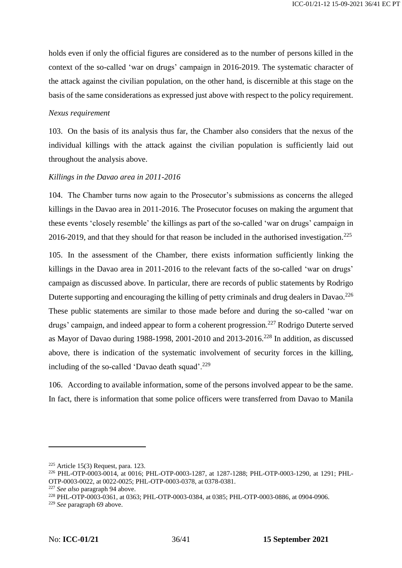holds even if only the official figures are considered as to the number of persons killed in the context of the so-called 'war on drugs' campaign in 2016-2019. The systematic character of the attack against the civilian population, on the other hand, is discernible at this stage on the basis of the same considerations as expressed just above with respect to the policy requirement.

### <span id="page-35-0"></span>*Nexus requirement*

103. On the basis of its analysis thus far, the Chamber also considers that the nexus of the individual killings with the attack against the civilian population is sufficiently laid out throughout the analysis above.

## <span id="page-35-1"></span>*Killings in the Davao area in 2011-2016*

104. The Chamber turns now again to the Prosecutor's submissions as concerns the alleged killings in the Davao area in 2011-2016. The Prosecutor focuses on making the argument that these events 'closely resemble' the killings as part of the so-called 'war on drugs' campaign in 2016-2019, and that they should for that reason be included in the authorised investigation.<sup>225</sup>

<span id="page-35-2"></span>105. In the assessment of the Chamber, there exists information sufficiently linking the killings in the Davao area in 2011-2016 to the relevant facts of the so-called 'war on drugs' campaign as discussed above. In particular, there are records of public statements by Rodrigo Duterte supporting and encouraging the killing of petty criminals and drug dealers in Davao.<sup>226</sup> These public statements are similar to those made before and during the so-called 'war on drugs' campaign, and indeed appear to form a coherent progression.<sup>227</sup> Rodrigo Duterte served as Mayor of Davao during 1988-1998, 2001-2010 and 2013-2016.<sup>228</sup> In addition, as discussed above, there is indication of the systematic involvement of security forces in the killing, including of the so-called 'Davao death squad'.<sup>229</sup>

<span id="page-35-3"></span>106. According to available information, some of the persons involved appear to be the same. In fact, there is information that some police officers were transferred from Davao to Manila

<sup>225</sup> Article 15(3) Request, para. 123.

<sup>226</sup> PHL-OTP-0003-0014, at 0016; PHL-OTP-0003-1287, at 1287-1288; PHL-OTP-0003-1290, at 1291; PHL-OTP-0003-0022, at 0022-0025; PHL-OTP-0003-0378, at 0378-0381.

<sup>227</sup> *See also* paragraph [94](#page-31-1) above.

<sup>228</sup> PHL-OTP-0003-0361, at 0363; PHL-OTP-0003-0384, at 0385; PHL-OTP-0003-0886, at 0904-0906.

<sup>229</sup> *See* paragraph [69](#page-23-1) above.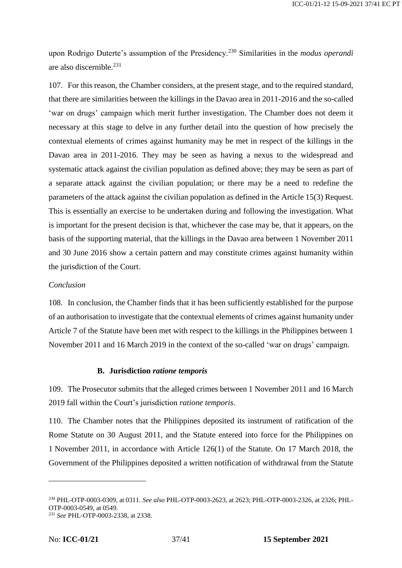upon Rodrigo Duterte's assumption of the Presidency.<sup>230</sup> Similarities in the *modus operandi* are also discernible.<sup>231</sup>

107. For this reason, the Chamber considers, at the present stage, and to the required standard, that there are similarities between the killings in the Davao area in 2011-2016 and the so-called 'war on drugs' campaign which merit further investigation. The Chamber does not deem it necessary at this stage to delve in any further detail into the question of how precisely the contextual elements of crimes against humanity may be met in respect of the killings in the Davao area in 2011-2016. They may be seen as having a nexus to the widespread and systematic attack against the civilian population as defined above; they may be seen as part of a separate attack against the civilian population; or there may be a need to redefine the parameters of the attack against the civilian population as defined in the Article 15(3) Request. This is essentially an exercise to be undertaken during and following the investigation. What is important for the present decision is that, whichever the case may be, that it appears, on the basis of the supporting material, that the killings in the Davao area between 1 November 2011 and 30 June 2016 show a certain pattern and may constitute crimes against humanity within the jurisdiction of the Court.

#### <span id="page-36-0"></span>*Conclusion*

108. In conclusion, the Chamber finds that it has been sufficiently established for the purpose of an authorisation to investigate that the contextual elements of crimes against humanity under Article 7 of the Statute have been met with respect to the killings in the Philippines between 1 November 2011 and 16 March 2019 in the context of the so-called 'war on drugs' campaign.

#### **B. Jurisdiction** *ratione temporis*

<span id="page-36-1"></span>109. The Prosecutor submits that the alleged crimes between 1 November 2011 and 16 March 2019 fall within the Court's jurisdiction *ratione temporis*.

110. The Chamber notes that the Philippines deposited its instrument of ratification of the Rome Statute on 30 August 2011, and the Statute entered into force for the Philippines on 1 November 2011, in accordance with Article 126(1) of the Statute. On 17 March 2018, the Government of the Philippines deposited a written notification of withdrawal from the Statute

<sup>230</sup> PHL-OTP-0003-0309, at 0311. *See also* PHL-OTP-0003-2623, at 2623; PHL-OTP-0003-2326, at 2326; PHL-OTP-0003-0549, at 0549. <sup>231</sup> *See* PHL-OTP-0003-2338, at 2338.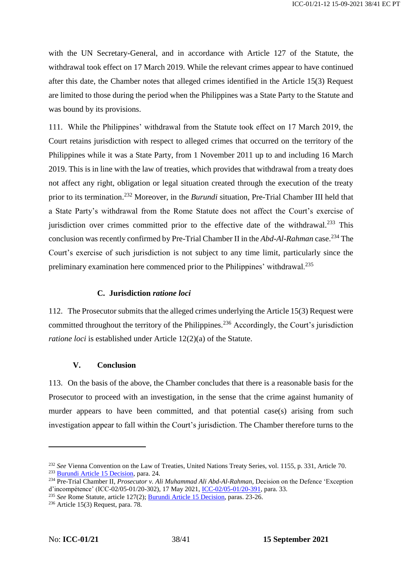with the UN Secretary-General, and in accordance with Article 127 of the Statute, the withdrawal took effect on 17 March 2019. While the relevant crimes appear to have continued after this date, the Chamber notes that alleged crimes identified in the Article 15(3) Request are limited to those during the period when the Philippines was a State Party to the Statute and was bound by its provisions.

111. While the Philippines' withdrawal from the Statute took effect on 17 March 2019, the Court retains jurisdiction with respect to alleged crimes that occurred on the territory of the Philippines while it was a State Party, from 1 November 2011 up to and including 16 March 2019. This is in line with the law of treaties, which provides that withdrawal from a treaty does not affect any right, obligation or legal situation created through the execution of the treaty prior to its termination. <sup>232</sup> Moreover, in the *Burundi* situation, Pre-Trial Chamber III held that a State Party's withdrawal from the Rome Statute does not affect the Court's exercise of jurisdiction over crimes committed prior to the effective date of the withdrawal.<sup>233</sup> This conclusion was recently confirmed by Pre-Trial Chamber II in the *Abd-Al-Rahman* case.<sup>234</sup> The Court's exercise of such jurisdiction is not subject to any time limit, particularly since the preliminary examination here commenced prior to the Philippines' withdrawal.<sup>235</sup>

## **C. Jurisdiction** *ratione loci*

<span id="page-37-0"></span>112. The Prosecutor submits that the alleged crimes underlying the Article 15(3) Request were committed throughout the territory of the Philippines.<sup>236</sup> Accordingly, the Court's jurisdiction *ratione loci* is established under Article 12(2)(a) of the Statute.

### **V. Conclusion**

<span id="page-37-1"></span>113. On the basis of the above, the Chamber concludes that there is a reasonable basis for the Prosecutor to proceed with an investigation, in the sense that the crime against humanity of murder appears to have been committed, and that potential case(s) arising from such investigation appear to fall within the Court's jurisdiction. The Chamber therefore turns to the

<sup>232</sup> *See* Vienna Convention on the Law of Treaties, United Nations Treaty Series, vol. 1155, p. 331, Article 70. <sup>233</sup> [Burundi Article 15 Decision,](http://www.legal-tools.org/doc/8f2373/) para. 24.

<sup>234</sup> Pre-Trial Chamber II, *Prosecutor v. Ali Muhammad Ali Abd-Al-Rahman*, Decision on the Defence 'Exception d'incompétence' (ICC-02/05-01/20-302), 17 May 2021, [ICC-02/05-01/20-391,](https://www.legal-tools.org/doc/lg5nag/) para. 33.

<sup>235</sup> *See* Rome Statute, article 127(2); [Burundi Article 15 Decision,](http://www.legal-tools.org/doc/8f2373/) paras. 23-26.

 $236$  Article 15(3) Request, para. 78.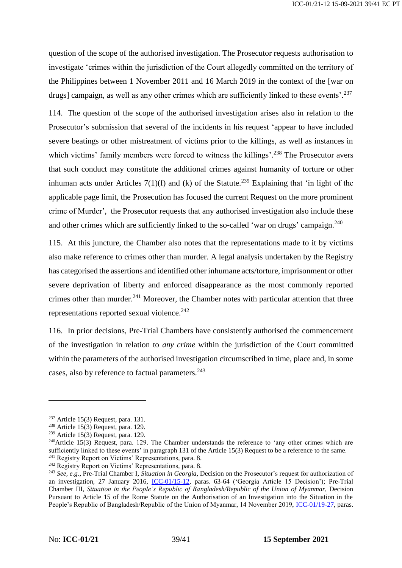question of the scope of the authorised investigation. The Prosecutor requests authorisation to investigate 'crimes within the jurisdiction of the Court allegedly committed on the territory of the Philippines between 1 November 2011 and 16 March 2019 in the context of the [war on drugs] campaign, as well as any other crimes which are sufficiently linked to these events'.<sup>237</sup>

114. The question of the scope of the authorised investigation arises also in relation to the Prosecutor's submission that several of the incidents in his request 'appear to have included severe beatings or other mistreatment of victims prior to the killings, as well as instances in which victims' family members were forced to witness the killings'.<sup>238</sup> The Prosecutor avers that such conduct may constitute the additional crimes against humanity of torture or other inhuman acts under Articles  $7(1)(f)$  and (k) of the Statute.<sup>239</sup> Explaining that 'in light of the applicable page limit, the Prosecution has focused the current Request on the more prominent crime of Murder', the Prosecutor requests that any authorised investigation also include these and other crimes which are sufficiently linked to the so-called 'war on drugs' campaign.<sup>240</sup>

115. At this juncture, the Chamber also notes that the representations made to it by victims also make reference to crimes other than murder. A legal analysis undertaken by the Registry has categorised the assertions and identified other inhumane acts/torture, imprisonment or other severe deprivation of liberty and enforced disappearance as the most commonly reported crimes other than murder.<sup>241</sup> Moreover, the Chamber notes with particular attention that three representations reported sexual violence.<sup>242</sup>

116. In prior decisions, Pre-Trial Chambers have consistently authorised the commencement of the investigation in relation to *any crime* within the jurisdiction of the Court committed within the parameters of the authorised investigation circumscribed in time, place and, in some cases, also by reference to factual parameters.<sup>243</sup>

<sup>237</sup> Article 15(3) Request, para. 131.

 $238$  Article 15(3) Request, para. 129.

<sup>239</sup> Article 15(3) Request, para. 129.

<sup>&</sup>lt;sup>240</sup>Article 15(3) Request, para. 129. The Chamber understands the reference to 'any other crimes which are sufficiently linked to these events' in paragraph 131 of the Article 15(3) Request to be a reference to the same. <sup>241</sup> Registry Report on Victims' Representations, para. 8.

<sup>242</sup> Registry Report on Victims' Representations, para. 8.

<sup>243</sup> *See, e.g.*, Pre-Trial Chamber I, *Situation in Georgia*, Decision on the Prosecutor's request for authorization of an investigation, 27 January 2016, [ICC-01/15-12,](https://www.legal-tools.org/doc/a3d07e/) paras. 63-64 ('Georgia Article 15 Decision'); Pre-Trial Chamber III, *Situation in the People's Republic of Bangladesh/Republic of the Union of Myanmar*, Decision Pursuant to Article 15 of the Rome Statute on the Authorisation of an Investigation into the Situation in the People's Republic of Bangladesh/Republic of the Union of Myanmar, 14 November 2019, [ICC-01/19-27,](https://www.legal-tools.org/doc/kbo3hy/) paras.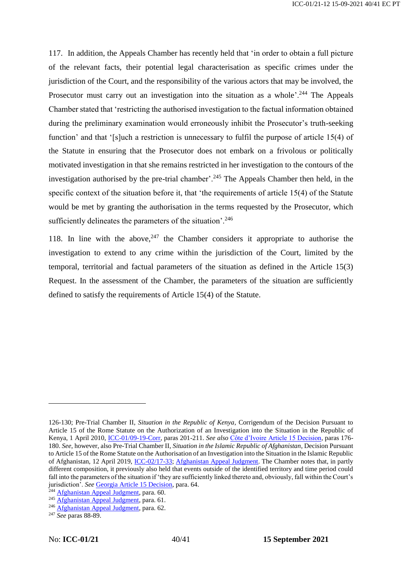117. In addition, the Appeals Chamber has recently held that 'in order to obtain a full picture of the relevant facts, their potential legal characterisation as specific crimes under the jurisdiction of the Court, and the responsibility of the various actors that may be involved, the Prosecutor must carry out an investigation into the situation as a whole'.<sup>244</sup> The Appeals Chamber stated that 'restricting the authorised investigation to the factual information obtained during the preliminary examination would erroneously inhibit the Prosecutor's truth-seeking function' and that '[s]uch a restriction is unnecessary to fulfil the purpose of article 15(4) of the Statute in ensuring that the Prosecutor does not embark on a frivolous or politically motivated investigation in that she remains restricted in her investigation to the contours of the investigation authorised by the pre-trial chamber'.<sup>245</sup> The Appeals Chamber then held, in the specific context of the situation before it, that 'the requirements of article 15(4) of the Statute would be met by granting the authorisation in the terms requested by the Prosecutor, which sufficiently delineates the parameters of the situation'.<sup>246</sup>

118. In line with the above,  $247$  the Chamber considers it appropriate to authorise the investigation to extend to any crime within the jurisdiction of the Court, limited by the temporal, territorial and factual parameters of the situation as defined in the Article 15(3) Request. In the assessment of the Chamber, the parameters of the situation are sufficiently defined to satisfy the requirements of Article 15(4) of the Statute.

<sup>126-130;</sup> Pre-Trial Chamber II, *Situation in the Republic of Kenya*, Corrigendum of the Decision Pursuant to Article 15 of the Rome Statute on the Authorization of an Investigation into the Situation in the Republic of Kenya, 1 April 2010, [ICC-01/09-19-Corr,](https://www.legal-tools.org/doc/f0caaf/) paras 201-211. *See also* [Côte d'Ivoire Article 15 Decision,](https://www.legal-tools.org/doc/e0c0eb/) paras 176- 180. *See*, however, also Pre-Trial Chamber II, *Situation in the Islamic Republic of Afghanistan*, Decision Pursuant to Article 15 of the Rome Statute on the Authorisation of an Investigation into the Situation in the Islamic Republic of Afghanistan, 12 April 2019, [ICC-02/17-33;](https://www.legal-tools.org/doc/2fb1f4/) [Afghanistan Appeal Judgment.](https://www.legal-tools.org/doc/x7kl12/) The Chamber notes that, in partly different composition, it previously also held that events outside of the identified territory and time period could fall into the parameters of the situation if 'they are sufficiently linked thereto and, obviously, fall within the Court's jurisdiction'. *See* [Georgia Article 15 Decision,](https://www.legal-tools.org/doc/a3d07e/) para. 64.

 $244$  [Afghanistan Appeal Judgment,](https://www.legal-tools.org/doc/x7kl12/) para. 60.

<sup>245</sup> [Afghanistan Appeal Judgment,](https://www.legal-tools.org/doc/x7kl12/) para. 61.

<sup>246</sup> [Afghanistan Appeal Judgment,](https://www.legal-tools.org/doc/x7kl12/) para. 62.

<sup>247</sup> *See* paras [88](#page-28-0)[-89.](#page-28-1)